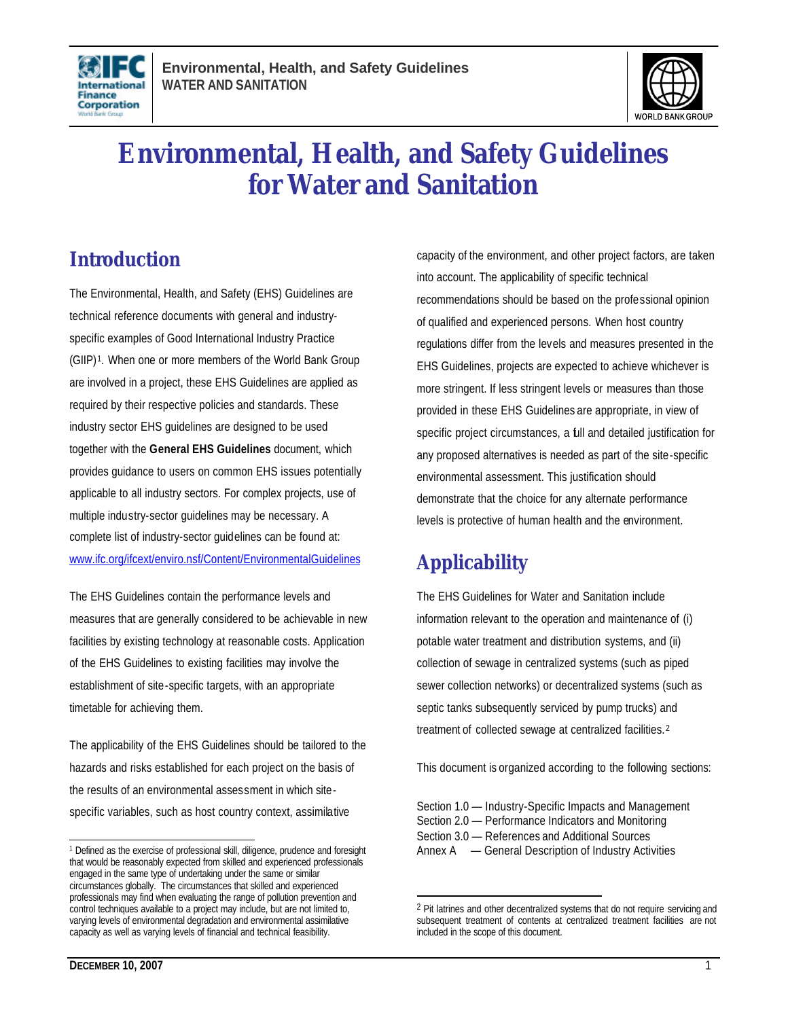



# **Environmental, Health, and Safety Guidelines for Water and Sanitation**

## **Introduction**

The Environmental, Health, and Safety (EHS) Guidelines are technical reference documents with general and industryspecific examples of Good International Industry Practice (GIIP)1. When one or more members of the World Bank Group are involved in a project, these EHS Guidelines are applied as required by their respective policies and standards. These industry sector EHS guidelines are designed to be used together with the **General EHS Guidelines** document, which provides guidance to users on common EHS issues potentially applicable to all industry sectors. For complex projects, use of multiple industry-sector guidelines may be necessary. A complete list of industry-sector guidelines can be found at: www.ifc.org/ifcext/enviro.nsf/Content/EnvironmentalGuidelines

The EHS Guidelines contain the performance levels and measures that are generally considered to be achievable in new facilities by existing technology at reasonable costs. Application of the EHS Guidelines to existing facilities may involve the establishment of site-specific targets, with an appropriate timetable for achieving them.

The applicability of the EHS Guidelines should be tailored to the hazards and risks established for each project on the basis of the results of an environmental assessment in which sitespecific variables, such as host country context, assimilative

capacity of the environment, and other project factors, are taken into account. The applicability of specific technical recommendations should be based on the professional opinion of qualified and experienced persons. When host country regulations differ from the levels and measures presented in the EHS Guidelines, projects are expected to achieve whichever is more stringent. If less stringent levels or measures than those provided in these EHS Guidelines are appropriate, in view of specific project circumstances, a full and detailed justification for any proposed alternatives is needed as part of the site-specific environmental assessment. This justification should demonstrate that the choice for any alternate performance levels is protective of human health and the environment.

## **Applicability**

L

The EHS Guidelines for Water and Sanitation include information relevant to the operation and maintenance of (i) potable water treatment and distribution systems, and (ii) collection of sewage in centralized systems (such as piped sewer collection networks) or decentralized systems (such as septic tanks subsequently serviced by pump trucks) and treatment of collected sewage at centralized facilities. 2

This document is organized according to the following sections:

L <sup>1</sup> Defined as the exercise of professional skill, diligence, prudence and foresight that would be reasonably expected from skilled and experienced professionals engaged in the same type of undertaking under the same or similar circumstances globally. The circumstances that skilled and experienced professionals may find when evaluating the range of pollution prevention and control techniques available to a project may include, but are not limited to, varying levels of environmental degradation and environmental assimilative capacity as well as varying levels of financial and technical feasibility.

Section 1.0 — Industry-Specific Impacts and Management Section 2.0 — Performance Indicators and Monitoring Section 3.0 — References and Additional Sources Annex A — General Description of Industry Activities

<sup>&</sup>lt;sup>2</sup> Pit latrines and other decentralized systems that do not require servicing and subsequent treatment of contents at centralized treatment facilities are not included in the scope of this document.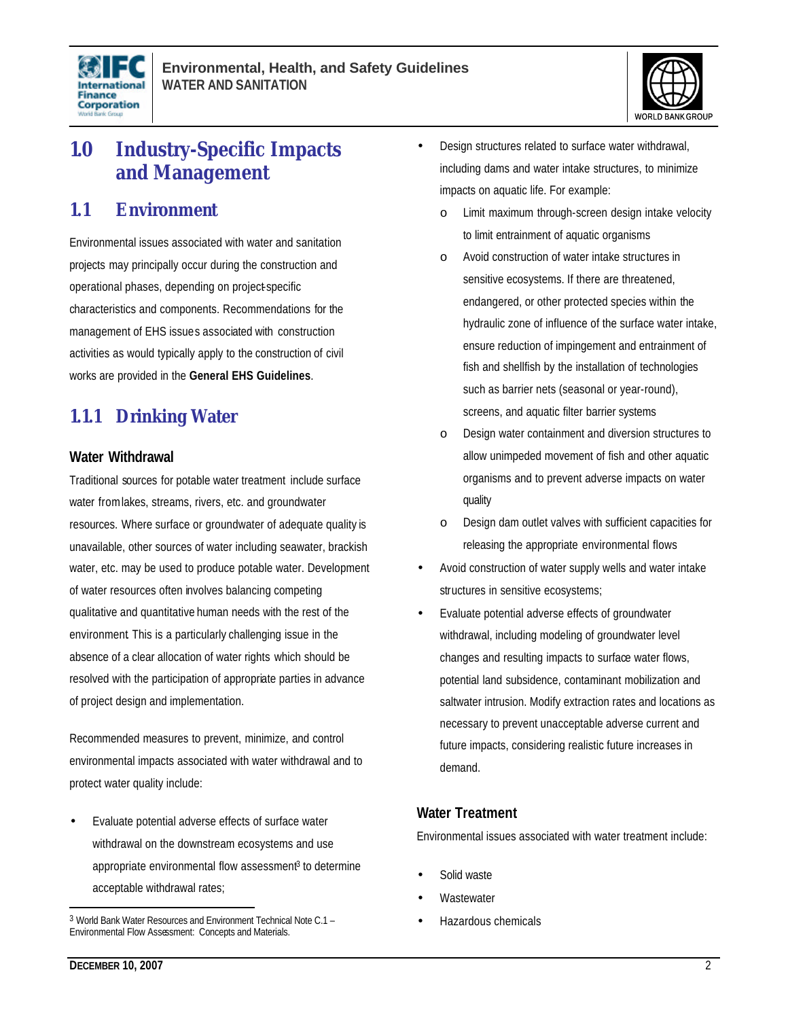



## **1.0 Industry-Specific Impacts and Management**

### **1.1 Environment**

Environmental issues associated with water and sanitation projects may principally occur during the construction and operational phases, depending on project-specific characteristics and components. Recommendations for the management of EHS issues associated with construction activities as would typically apply to the construction of civil works are provided in the **General EHS Guidelines**.

## **1.1.1 Drinking Water**

#### **Water Withdrawal**

Traditional sources for potable water treatment include surface water from lakes, streams, rivers, etc. and groundwater resources. Where surface or groundwater of adequate quality is unavailable, other sources of water including seawater, brackish water, etc. may be used to produce potable water. Development of water resources often involves balancing competing qualitative and quantitative human needs with the rest of the environment. This is a particularly challenging issue in the absence of a clear allocation of water rights which should be resolved with the participation of appropriate parties in advance of project design and implementation.

Recommended measures to prevent, minimize, and control environmental impacts associated with water withdrawal and to protect water quality include:

• Evaluate potential adverse effects of surface water withdrawal on the downstream ecosystems and use appropriate environmental flow assessment<sup>3</sup> to determine acceptable withdrawal rates;

- Design structures related to surface water withdrawal, including dams and water intake structures, to minimize impacts on aquatic life. For example:
	- Limit maximum through-screen design intake velocity to limit entrainment of aquatic organisms
	- o Avoid construction of water intake structures in sensitive ecosystems. If there are threatened, endangered, or other protected species within the hydraulic zone of influence of the surface water intake, ensure reduction of impingement and entrainment of fish and shellfish by the installation of technologies such as barrier nets (seasonal or year-round), screens, and aquatic filter barrier systems
	- o Design water containment and diversion structures to allow unimpeded movement of fish and other aquatic organisms and to prevent adverse impacts on water quality
	- o Design dam outlet valves with sufficient capacities for releasing the appropriate environmental flows
- Avoid construction of water supply wells and water intake structures in sensitive ecosystems;
- Evaluate potential adverse effects of groundwater withdrawal, including modeling of groundwater level changes and resulting impacts to surface water flows, potential land subsidence, contaminant mobilization and saltwater intrusion. Modify extraction rates and locations as necessary to prevent unacceptable adverse current and future impacts, considering realistic future increases in demand.

#### **Water Treatment**

Environmental issues associated with water treatment include:

- Solid waste
- **Wastewater**
- Hazardous chemicals

<sup>3</sup> World Bank Water Resources and Environment Technical Note C.1 – Environmental Flow Assessment: Concepts and Materials.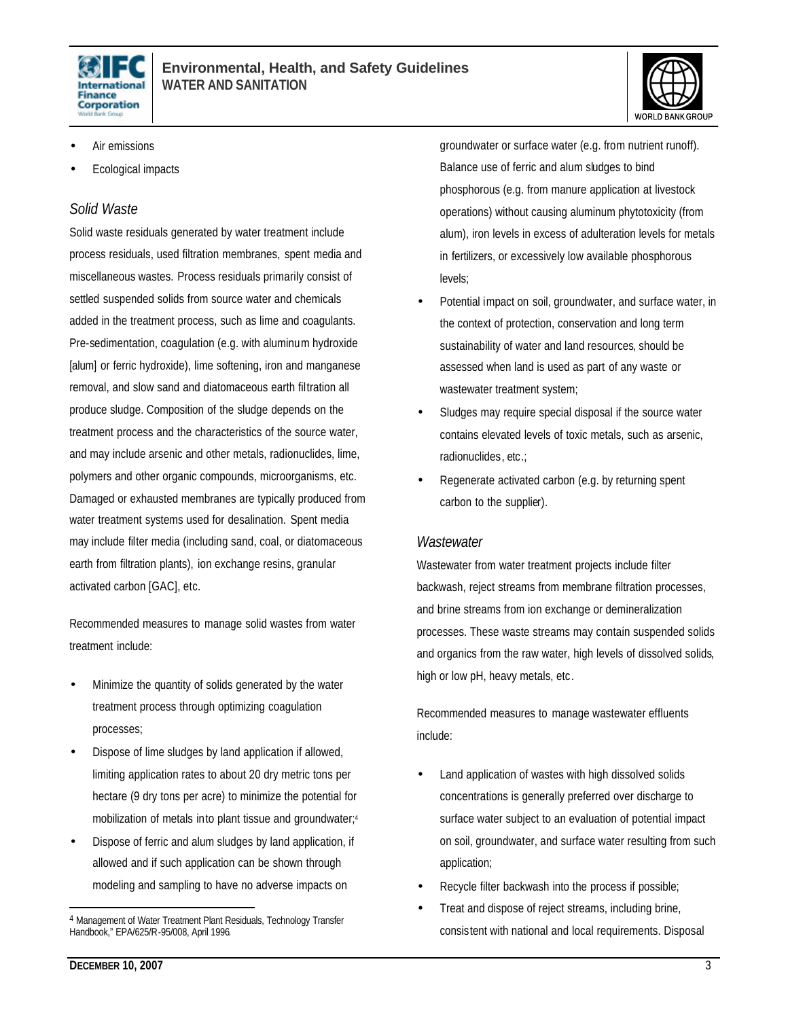



- Air emissions
- Ecological impacts

#### *Solid Waste*

Solid waste residuals generated by water treatment include process residuals, used filtration membranes, spent media and miscellaneous wastes. Process residuals primarily consist of settled suspended solids from source water and chemicals added in the treatment process, such as lime and coagulants. Pre-sedimentation, coagulation (e.g. with aluminum hydroxide [alum] or ferric hydroxide), lime softening, iron and manganese removal, and slow sand and diatomaceous earth filtration all produce sludge. Composition of the sludge depends on the treatment process and the characteristics of the source water, and may include arsenic and other metals, radionuclides, lime, polymers and other organic compounds, microorganisms, etc. Damaged or exhausted membranes are typically produced from water treatment systems used for desalination. Spent media may include filter media (including sand, coal, or diatomaceous earth from filtration plants), ion exchange resins, granular activated carbon [GAC], etc.

Recommended measures to manage solid wastes from water treatment include:

- Minimize the quantity of solids generated by the water treatment process through optimizing coagulation processes;
- Dispose of lime sludges by land application if allowed, limiting application rates to about 20 dry metric tons per hectare (9 dry tons per acre) to minimize the potential for mobilization of metals into plant tissue and groundwater;<sup>4</sup>
- Dispose of ferric and alum sludges by land application, if allowed and if such application can be shown through modeling and sampling to have no adverse impacts on

groundwater or surface water (e.g. from nutrient runoff). Balance use of ferric and alum sludges to bind phosphorous (e.g. from manure application at livestock operations) without causing aluminum phytotoxicity (from alum), iron levels in excess of adulteration levels for metals in fertilizers, or excessively low available phosphorous levels;

- Potential impact on soil, groundwater, and surface water, in the context of protection, conservation and long term sustainability of water and land resources, should be assessed when land is used as part of any waste or wastewater treatment system;
- Sludges may require special disposal if the source water contains elevated levels of toxic metals, such as arsenic, radionuclides, etc.;
- Regenerate activated carbon (e.g. by returning spent carbon to the supplier).

#### *Wastewater*

Wastewater from water treatment projects include filter backwash, reject streams from membrane filtration processes, and brine streams from ion exchange or demineralization processes. These waste streams may contain suspended solids and organics from the raw water, high levels of dissolved solids, high or low pH, heavy metals, etc.

Recommended measures to manage wastewater effluents include:

- Land application of wastes with high dissolved solids concentrations is generally preferred over discharge to surface water subject to an evaluation of potential impact on soil, groundwater, and surface water resulting from such application;
- Recycle filter backwash into the process if possible;
- Treat and dispose of reject streams, including brine, consistent with national and local requirements. Disposal

<sup>4</sup> Management of Water Treatment Plant Residuals, Technology Transfer Handbook," EPA/625/R-95/008, April 1996.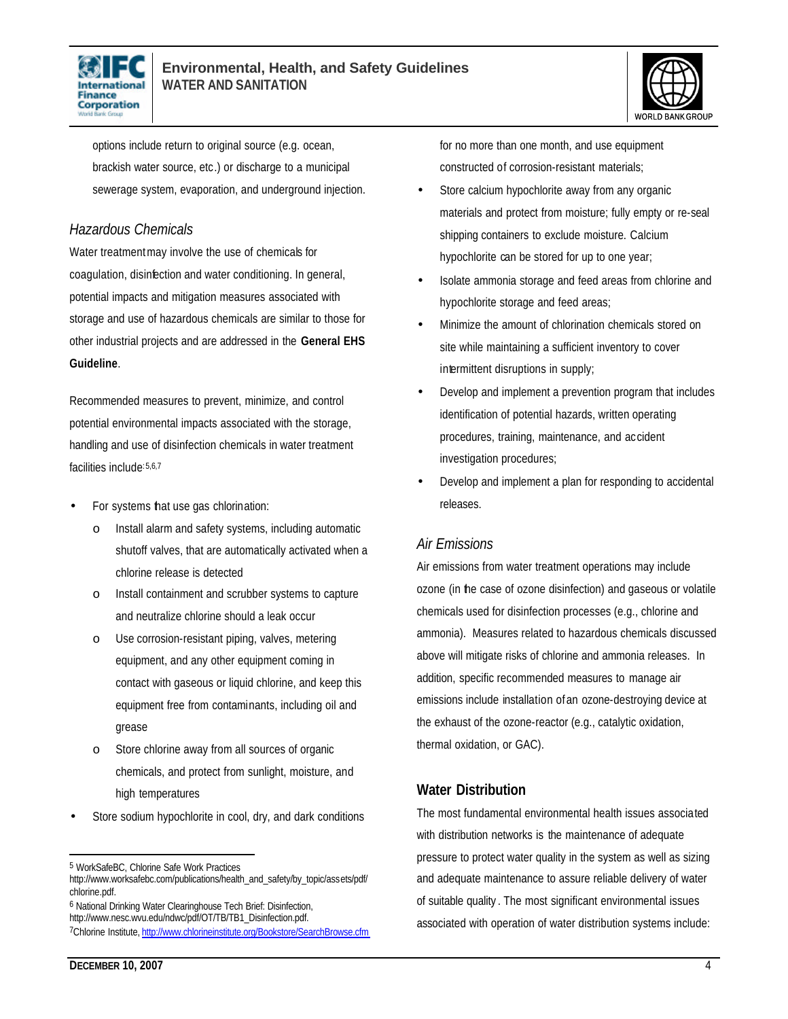



options include return to original source (e.g. ocean, brackish water source, etc.) or discharge to a municipal sewerage system, evaporation, and underground injection.

#### *Hazardous Chemicals*

Water treatment may involve the use of chemicals for coagulation, disinfection and water conditioning. In general, potential impacts and mitigation measures associated with storage and use of hazardous chemicals are similar to those for other industrial projects and are addressed in the **General EHS Guideline**.

Recommended measures to prevent, minimize, and control potential environmental impacts associated with the storage, handling and use of disinfection chemicals in water treatment facilities include:5,6,7

- For systems that use gas chlorination:
	- o Install alarm and safety systems, including automatic shutoff valves, that are automatically activated when a chlorine release is detected
	- o Install containment and scrubber systems to capture and neutralize chlorine should a leak occur
	- o Use corrosion-resistant piping, valves, metering equipment, and any other equipment coming in contact with gaseous or liquid chlorine, and keep this equipment free from contaminants, including oil and grease
	- o Store chlorine away from all sources of organic chemicals, and protect from sunlight, moisture, and high temperatures
- Store sodium hypochlorite in cool, dry, and dark conditions

6 National Drinking Water Clearinghouse Tech Brief: Disinfection, http://www.nesc.wvu.edu/ndwc/pdf/OT/TB/TB1\_Disinfection.pdf.

for no more than one month, and use equipment constructed of corrosion-resistant materials;

- Store calcium hypochlorite away from any organic materials and protect from moisture; fully empty or re-seal shipping containers to exclude moisture. Calcium hypochlorite can be stored for up to one year;
- Isolate ammonia storage and feed areas from chlorine and hypochlorite storage and feed areas;
- Minimize the amount of chlorination chemicals stored on site while maintaining a sufficient inventory to cover intermittent disruptions in supply;
- Develop and implement a prevention program that includes identification of potential hazards, written operating procedures, training, maintenance, and accident investigation procedures;
- Develop and implement a plan for responding to accidental releases.

#### *Air Emissions*

Air emissions from water treatment operations may include ozone (in the case of ozone disinfection) and gaseous or volatile chemicals used for disinfection processes (e.g., chlorine and ammonia). Measures related to hazardous chemicals discussed above will mitigate risks of chlorine and ammonia releases. In addition, specific recommended measures to manage air emissions include installation ofan ozone-destroying device at the exhaust of the ozone-reactor (e.g., catalytic oxidation, thermal oxidation, or GAC).

#### **Water Distribution**

The most fundamental environmental health issues associated with distribution networks is the maintenance of adequate pressure to protect water quality in the system as well as sizing and adequate maintenance to assure reliable delivery of water of suitable quality . The most significant environmental issues associated with operation of water distribution systems include:

<sup>5</sup> WorkSafeBC, Chlorine Safe Work Practices

http://www.worksafebc.com/publications/health\_and\_safety/by\_topic/assets/pdf/ chlorine.pdf.

<sup>7</sup>Chlorine Institute, http://www.chlorineinstitute.org/Bookstore/SearchBrowse.cfm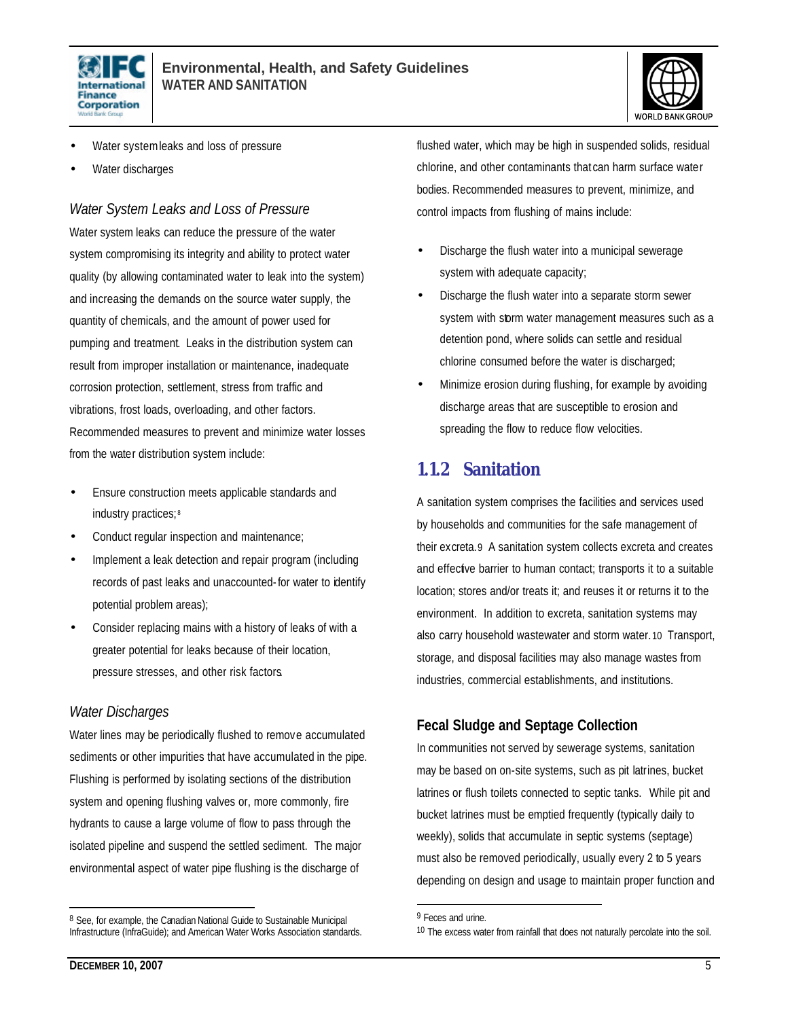



- Water systemleaks and loss of pressure
- Water discharges

*Water System Leaks and Loss of Pressure*

Water system leaks can reduce the pressure of the water system compromising its integrity and ability to protect water quality (by allowing contaminated water to leak into the system) and increasing the demands on the source water supply, the quantity of chemicals, and the amount of power used for pumping and treatment. Leaks in the distribution system can result from improper installation or maintenance, inadequate corrosion protection, settlement, stress from traffic and vibrations, frost loads, overloading, and other factors. Recommended measures to prevent and minimize water losses from the water distribution system include:

- Ensure construction meets applicable standards and industry practices; 8
- Conduct regular inspection and maintenance;
- Implement a leak detection and repair program (including records of past leaks and unaccounted-for water to identify potential problem areas);
- Consider replacing mains with a history of leaks of with a greater potential for leaks because of their location, pressure stresses, and other risk factors.

#### *Water Discharges*

Water lines may be periodically flushed to remove accumulated sediments or other impurities that have accumulated in the pipe. Flushing is performed by isolating sections of the distribution system and opening flushing valves or, more commonly, fire hydrants to cause a large volume of flow to pass through the isolated pipeline and suspend the settled sediment. The major environmental aspect of water pipe flushing is the discharge of

flushed water, which may be high in suspended solids, residual chlorine, and other contaminants that can harm surface water bodies. Recommended measures to prevent, minimize, and control impacts from flushing of mains include:

- Discharge the flush water into a municipal sewerage system with adequate capacity;
- Discharge the flush water into a separate storm sewer system with storm water management measures such as a detention pond, where solids can settle and residual chlorine consumed before the water is discharged;
- Minimize erosion during flushing, for example by avoiding discharge areas that are susceptible to erosion and spreading the flow to reduce flow velocities.

### **1.1.2 Sanitation**

A sanitation system comprises the facilities and services used by households and communities for the safe management of their excreta.9 A sanitation system collects excreta and creates and effective barrier to human contact; transports it to a suitable location; stores and/or treats it; and reuses it or returns it to the environment. In addition to excreta, sanitation systems may also carry household wastewater and storm water.10 Transport, storage, and disposal facilities may also manage wastes from industries, commercial establishments, and institutions.

#### **Fecal Sludge and Septage Collection**

In communities not served by sewerage systems, sanitation may be based on on-site systems, such as pit latrines, bucket latrines or flush toilets connected to septic tanks. While pit and bucket latrines must be emptied frequently (typically daily to weekly), solids that accumulate in septic systems (septage) must also be removed periodically, usually every 2 to 5 years depending on design and usage to maintain proper function and

L

<sup>8</sup> See, for example, the Canadian National Guide to Sustainable Municipal Infrastructure (InfraGuide); and American Water Works Association standards.

<sup>&</sup>lt;sup>9</sup> Feces and urine.

<sup>10</sup> The excess water from rainfall that does not naturally percolate into the soil.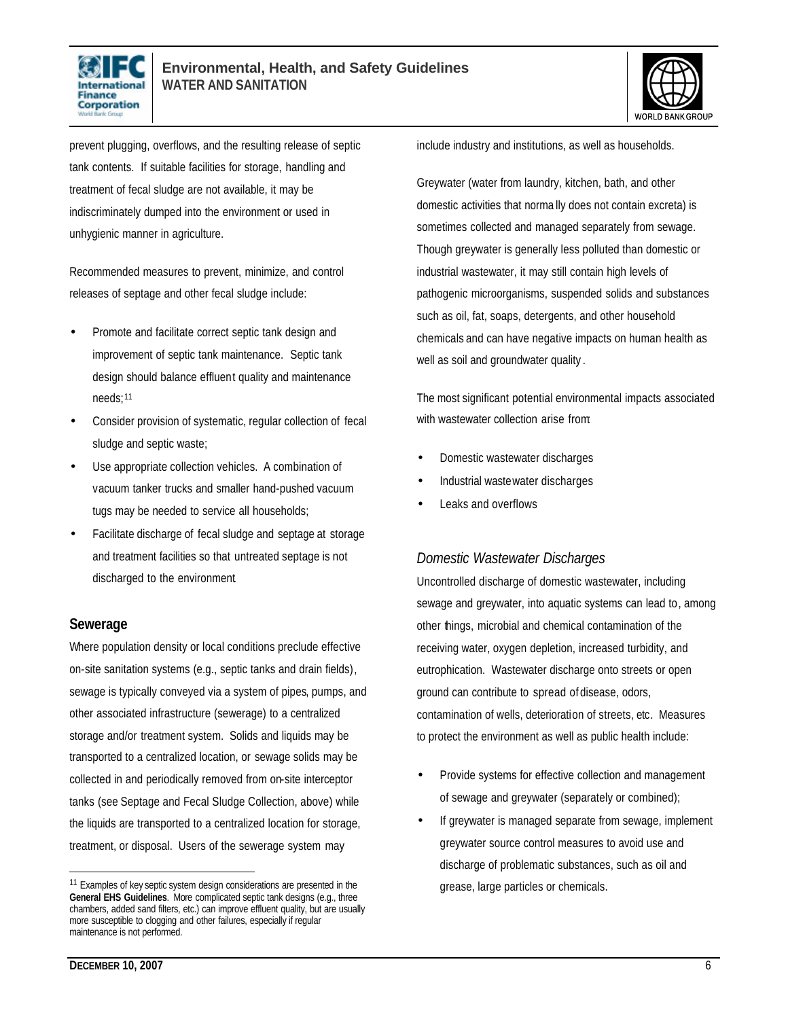



prevent plugging, overflows, and the resulting release of septic tank contents. If suitable facilities for storage, handling and treatment of fecal sludge are not available, it may be indiscriminately dumped into the environment or used in unhygienic manner in agriculture.

Recommended measures to prevent, minimize, and control releases of septage and other fecal sludge include:

- Promote and facilitate correct septic tank design and improvement of septic tank maintenance. Septic tank design should balance effluent quality and maintenance needs;<sup>11</sup>
- Consider provision of systematic, regular collection of fecal sludge and septic waste;
- Use appropriate collection vehicles. A combination of vacuum tanker trucks and smaller hand-pushed vacuum tugs may be needed to service all households;
- Facilitate discharge of fecal sludge and septage at storage and treatment facilities so that untreated septage is not discharged to the environment.

#### **Sewerage**

Where population density or local conditions preclude effective on-site sanitation systems (e.g., septic tanks and drain fields), sewage is typically conveyed via a system of pipes, pumps, and other associated infrastructure (sewerage) to a centralized storage and/or treatment system. Solids and liquids may be transported to a centralized location, or sewage solids may be collected in and periodically removed from on-site interceptor tanks (see Septage and Fecal Sludge Collection, above) while the liquids are transported to a centralized location for storage, treatment, or disposal. Users of the sewerage system may

include industry and institutions, as well as households.

Greywater (water from laundry, kitchen, bath, and other domestic activities that norma lly does not contain excreta) is sometimes collected and managed separately from sewage. Though greywater is generally less polluted than domestic or industrial wastewater, it may still contain high levels of pathogenic microorganisms, suspended solids and substances such as oil, fat, soaps, detergents, and other household chemicals and can have negative impacts on human health as well as soil and groundwater quality .

The most significant potential environmental impacts associated with wastewater collection arise from:

- Domestic wastewater discharges
- Industrial wastewater discharges
- Leaks and overflows

#### *Domestic Wastewater Discharges*

Uncontrolled discharge of domestic wastewater, including sewage and greywater, into aquatic systems can lead to, among other things, microbial and chemical contamination of the receiving water, oxygen depletion, increased turbidity, and eutrophication. Wastewater discharge onto streets or open ground can contribute to spread of disease, odors, contamination of wells, deterioration of streets, etc. Measures to protect the environment as well as public health include:

- Provide systems for effective collection and management of sewage and greywater (separately or combined);
- If greywater is managed separate from sewage, implement greywater source control measures to avoid use and discharge of problematic substances, such as oil and grease, large particles or chemicals.

<sup>&</sup>lt;sup>11</sup> Examples of key septic system design considerations are presented in the **General EHS Guidelines**. More complicated septic tank designs (e.g., three chambers, added sand filters, etc.) can improve effluent quality, but are usually more susceptible to clogging and other failures, especially if regular maintenance is not performed.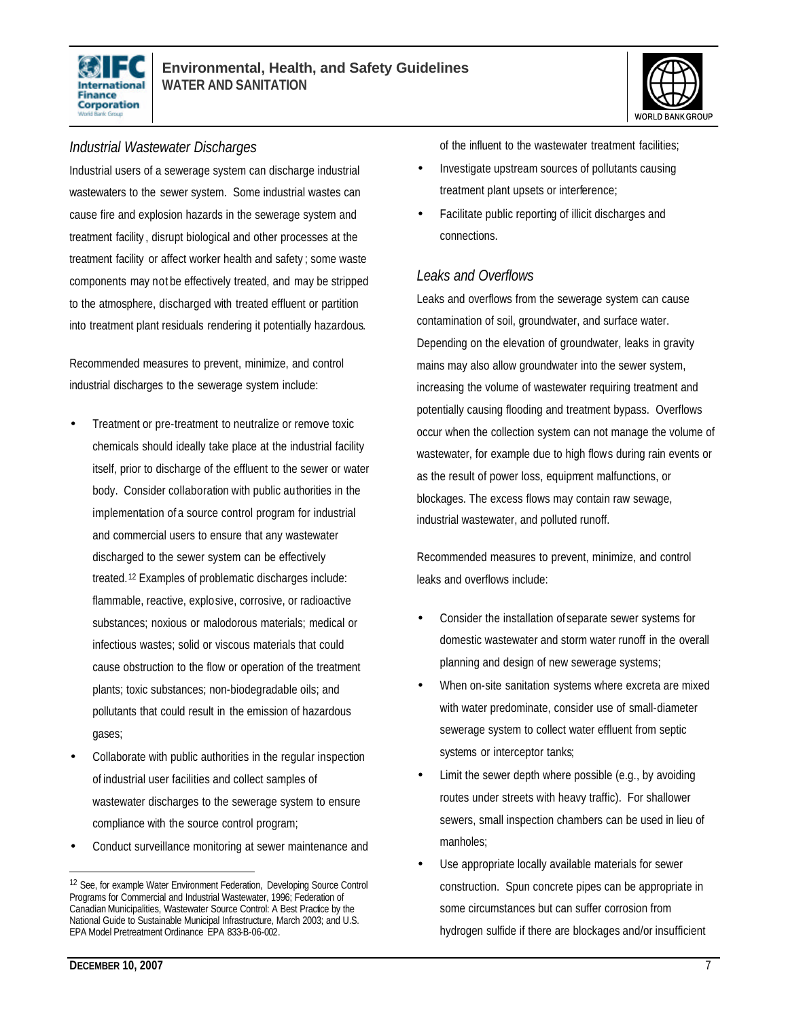



#### *Industrial Wastewater Discharges*

Industrial users of a sewerage system can discharge industrial wastewaters to the sewer system. Some industrial wastes can cause fire and explosion hazards in the sewerage system and treatment facility , disrupt biological and other processes at the treatment facility or affect worker health and safety ; some waste components may not be effectively treated, and may be stripped to the atmosphere, discharged with treated effluent or partition into treatment plant residuals rendering it potentially hazardous.

Recommended measures to prevent, minimize, and control industrial discharges to the sewerage system include:

- Treatment or pre-treatment to neutralize or remove toxic chemicals should ideally take place at the industrial facility itself, prior to discharge of the effluent to the sewer or water body. Consider collaboration with public authorities in the implementation of a source control program for industrial and commercial users to ensure that any wastewater discharged to the sewer system can be effectively treated.<sup>12</sup> Examples of problematic discharges include: flammable, reactive, explosive, corrosive, or radioactive substances; noxious or malodorous materials; medical or infectious wastes; solid or viscous materials that could cause obstruction to the flow or operation of the treatment plants; toxic substances; non-biodegradable oils; and pollutants that could result in the emission of hazardous gases;
- Collaborate with public authorities in the regular inspection of industrial user facilities and collect samples of wastewater discharges to the sewerage system to ensure compliance with the source control program;
- Conduct surveillance monitoring at sewer maintenance and

of the influent to the wastewater treatment facilities;

- Investigate upstream sources of pollutants causing treatment plant upsets or interference;
- Facilitate public reporting of illicit discharges and connections.

#### *Leaks and Overflows*

Leaks and overflows from the sewerage system can cause contamination of soil, groundwater, and surface water. Depending on the elevation of groundwater, leaks in gravity mains may also allow groundwater into the sewer system, increasing the volume of wastewater requiring treatment and potentially causing flooding and treatment bypass. Overflows occur when the collection system can not manage the volume of wastewater, for example due to high flows during rain events or as the result of power loss, equipment malfunctions, or blockages. The excess flows may contain raw sewage, industrial wastewater, and polluted runoff.

Recommended measures to prevent, minimize, and control leaks and overflows include:

- Consider the installation of separate sewer systems for domestic wastewater and storm water runoff in the overall planning and design of new sewerage systems;
- When on-site sanitation systems where excreta are mixed with water predominate, consider use of small-diameter sewerage system to collect water effluent from septic systems or interceptor tanks;
- Limit the sewer depth where possible (e.g., by avoiding routes under streets with heavy traffic). For shallower sewers, small inspection chambers can be used in lieu of manholes;
- Use appropriate locally available materials for sewer construction. Spun concrete pipes can be appropriate in some circumstances but can suffer corrosion from hydrogen sulfide if there are blockages and/or insufficient

<sup>12</sup> See, for example Water Environment Federation, Developing Source Control Programs for Commercial and Industrial Wastewater, 1996; Federation of Canadian Municipalities, Wastewater Source Control: A Best Practice by the National Guide to Sustainable Municipal Infrastructure, March 2003; and U.S. EPA Model Pretreatment Ordinance EPA 833-B-06-002.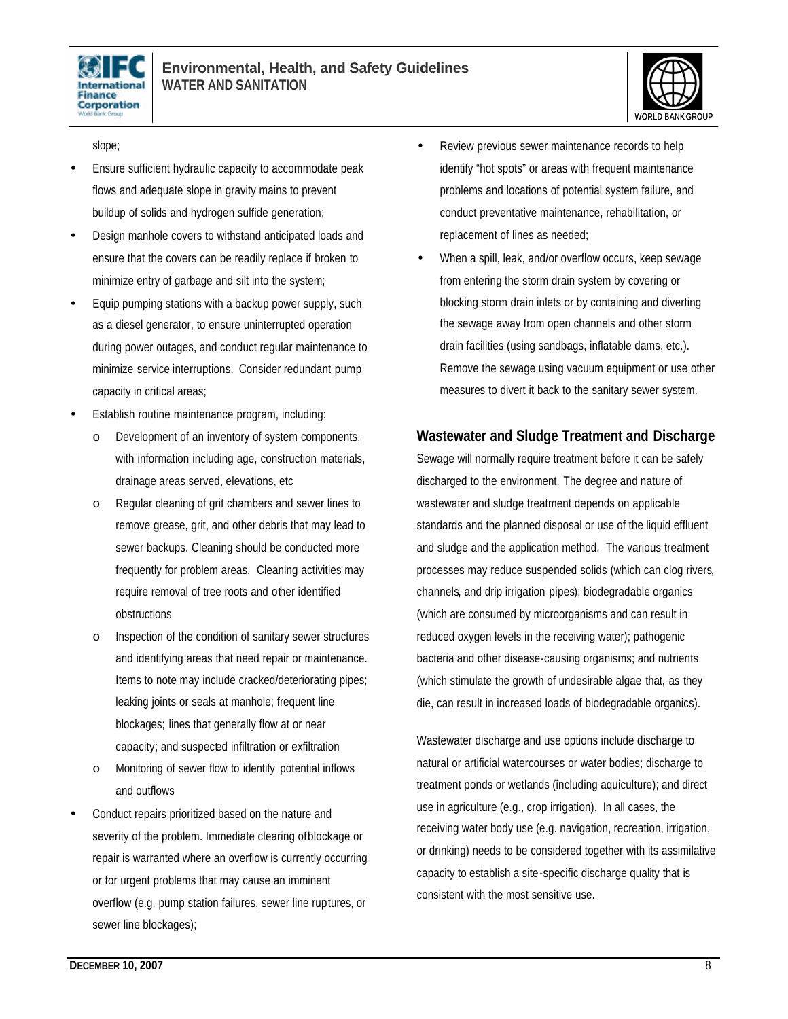



slope;

- Ensure sufficient hydraulic capacity to accommodate peak flows and adequate slope in gravity mains to prevent buildup of solids and hydrogen sulfide generation;
- Design manhole covers to withstand anticipated loads and ensure that the covers can be readily replace if broken to minimize entry of garbage and silt into the system;
- Equip pumping stations with a backup power supply, such as a diesel generator, to ensure uninterrupted operation during power outages, and conduct regular maintenance to minimize service interruptions. Consider redundant pump capacity in critical areas;
- Establish routine maintenance program, including:
	- o Development of an inventory of system components, with information including age, construction materials, drainage areas served, elevations, etc
	- o Regular cleaning of grit chambers and sewer lines to remove grease, grit, and other debris that may lead to sewer backups. Cleaning should be conducted more frequently for problem areas. Cleaning activities may require removal of tree roots and other identified obstructions
	- o Inspection of the condition of sanitary sewer structures and identifying areas that need repair or maintenance. Items to note may include cracked/deteriorating pipes; leaking joints or seals at manhole; frequent line blockages; lines that generally flow at or near capacity; and suspected infiltration or exfiltration
	- o Monitoring of sewer flow to identify potential inflows and outflows
- Conduct repairs prioritized based on the nature and severity of the problem. Immediate clearing of blockage or repair is warranted where an overflow is currently occurring or for urgent problems that may cause an imminent overflow (e.g. pump station failures, sewer line ruptures, or sewer line blockages);
- Review previous sewer maintenance records to help identify "hot spots" or areas with frequent maintenance problems and locations of potential system failure, and conduct preventative maintenance, rehabilitation, or replacement of lines as needed;
- When a spill, leak, and/or overflow occurs, keep sewage from entering the storm drain system by covering or blocking storm drain inlets or by containing and diverting the sewage away from open channels and other storm drain facilities (using sandbags, inflatable dams, etc.). Remove the sewage using vacuum equipment or use other measures to divert it back to the sanitary sewer system.

#### **Wastewater and Sludge Treatment and Discharge**

Sewage will normally require treatment before it can be safely discharged to the environment. The degree and nature of wastewater and sludge treatment depends on applicable standards and the planned disposal or use of the liquid effluent and sludge and the application method. The various treatment processes may reduce suspended solids (which can clog rivers, channels, and drip irrigation pipes); biodegradable organics (which are consumed by microorganisms and can result in reduced oxygen levels in the receiving water); pathogenic bacteria and other disease-causing organisms; and nutrients (which stimulate the growth of undesirable algae that, as they die, can result in increased loads of biodegradable organics).

Wastewater discharge and use options include discharge to natural or artificial watercourses or water bodies; discharge to treatment ponds or wetlands (including aquiculture); and direct use in agriculture (e.g., crop irrigation). In all cases, the receiving water body use (e.g. navigation, recreation, irrigation, or drinking) needs to be considered together with its assimilative capacity to establish a site-specific discharge quality that is consistent with the most sensitive use.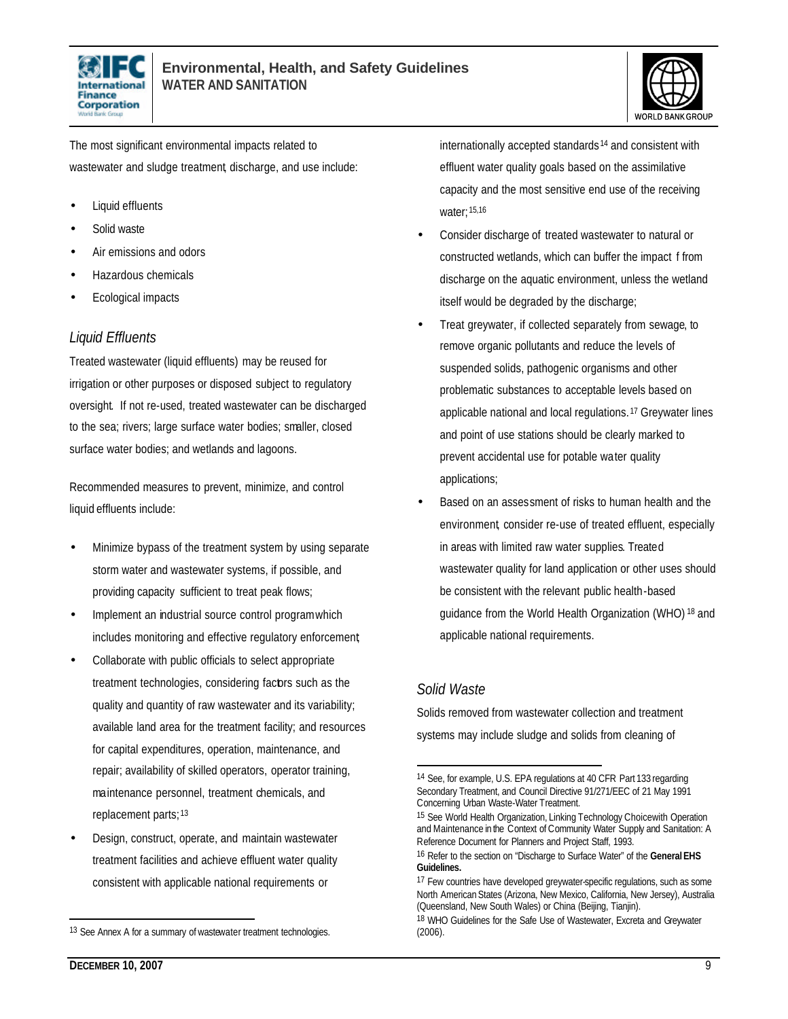



The most significant environmental impacts related to wastewater and sludge treatment, discharge, and use include:

- Liquid effluents
- Solid waste
- Air emissions and odors
- Hazardous chemicals
- Ecological impacts

#### *Liquid Effluents*

Treated wastewater (liquid effluents) may be reused for irrigation or other purposes or disposed subject to regulatory oversight. If not re-used, treated wastewater can be discharged to the sea; rivers; large surface water bodies; smaller, closed surface water bodies; and wetlands and lagoons.

Recommended measures to prevent, minimize, and control liquid effluents include:

- Minimize bypass of the treatment system by using separate storm water and wastewater systems, if possible, and providing capacity sufficient to treat peak flows;
- Implement an industrial source control program which includes monitoring and effective regulatory enforcement;
- Collaborate with public officials to select appropriate treatment technologies, considering factors such as the quality and quantity of raw wastewater and its variability; available land area for the treatment facility; and resources for capital expenditures, operation, maintenance, and repair; availability of skilled operators, operator training, maintenance personnel, treatment chemicals, and replacement parts; 13
- Design, construct, operate, and maintain wastewater treatment facilities and achieve effluent water quality consistent with applicable national requirements or

internationally accepted standards <sup>14</sup> and consistent with effluent water quality goals based on the assimilative capacity and the most sensitive end use of the receiving water; 15,16

- Consider discharge of treated wastewater to natural or constructed wetlands, which can buffer the impact f from discharge on the aquatic environment, unless the wetland itself would be degraded by the discharge;
- Treat greywater, if collected separately from sewage, to remove organic pollutants and reduce the levels of suspended solids, pathogenic organisms and other problematic substances to acceptable levels based on applicable national and local regulations. <sup>17</sup> Greywater lines and point of use stations should be clearly marked to prevent accidental use for potable water quality applications;
- Based on an assessment of risks to human health and the environment, consider re-use of treated effluent, especially in areas with limited raw water supplies. Treated wastewater quality for land application or other uses should be consistent with the relevant public health-based guidance from the World Health Organization (WHO) <sup>18</sup> and applicable national requirements.

#### *Solid Waste*

L

Solids removed from wastewater collection and treatment systems may include sludge and solids from cleaning of

<sup>13</sup> See Annex A for a summary of wastewater treatment technologies.

<sup>14</sup> See, for example, U.S. EPA regulations at 40 CFR Part 133 regarding Secondary Treatment, and Council Directive 91/271/EEC of 21 May 1991 Concerning Urban Waste-Water Treatment.

<sup>15</sup> See World Health Organization, Linking Technology Choicewith Operation and Maintenance in the Context of Community Water Supply and Sanitation: A Reference Document for Planners and Project Staff, 1993.

<sup>16</sup> Refer to the section on "Discharge to Surface Water" of the **General EHS Guidelines.**

<sup>17</sup> Few countries have developed greywater-specific regulations, such as some North American States (Arizona, New Mexico, California, New Jersey), Australia (Queensland, New South Wales) or China (Beijing, Tianjin).

<sup>18</sup> WHO Guidelines for the Safe Use of Wastewater, Excreta and Greywater (2006).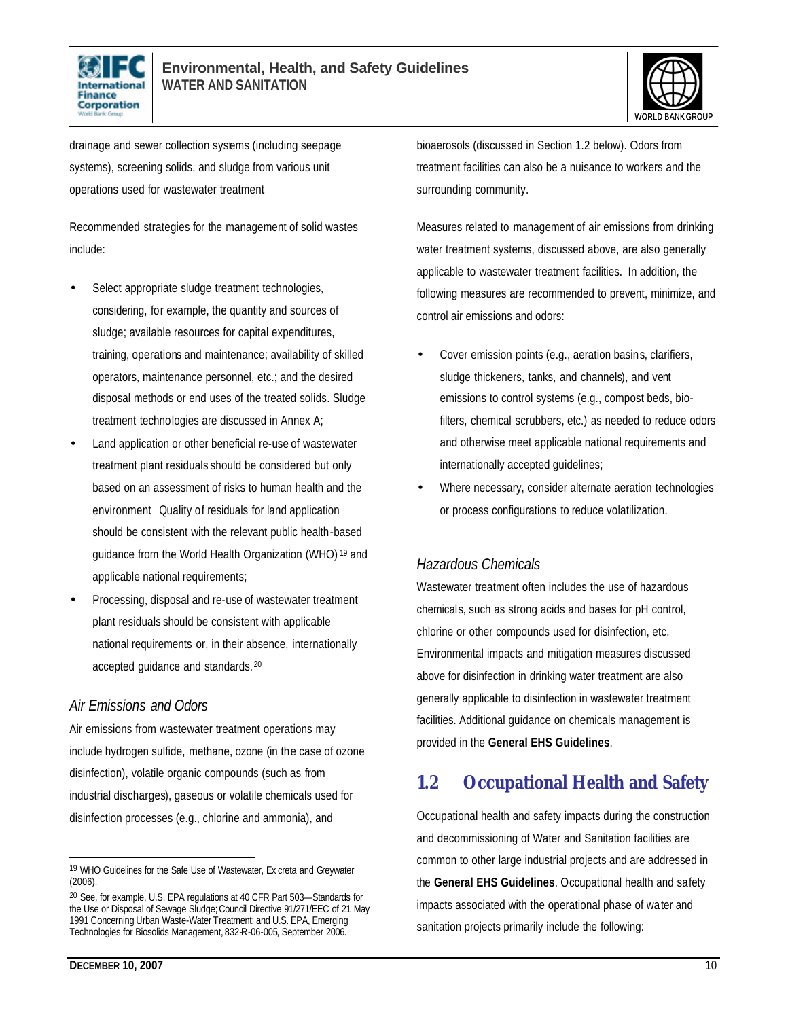



drainage and sewer collection systems (including seepage systems), screening solids, and sludge from various unit operations used for wastewater treatment.

Recommended strategies for the management of solid wastes include:

- Select appropriate sludge treatment technologies, considering, for example, the quantity and sources of sludge; available resources for capital expenditures, training, operations and maintenance; availability of skilled operators, maintenance personnel, etc.; and the desired disposal methods or end uses of the treated solids. Sludge treatment technologies are discussed in Annex A;
- Land application or other beneficial re-use of wastewater treatment plant residuals should be considered but only based on an assessment of risks to human health and the environment. Quality of residuals for land application should be consistent with the relevant public health-based guidance from the World Health Organization (WHO) <sup>19</sup> and applicable national requirements;
- Processing, disposal and re-use of wastewater treatment plant residuals should be consistent with applicable national requirements or, in their absence, internationally accepted guidance and standards. <sup>20</sup>

#### *Air Emissions and Odors*

Air emissions from wastewater treatment operations may include hydrogen sulfide, methane, ozone (in the case of ozone disinfection), volatile organic compounds (such as from industrial discharges), gaseous or volatile chemicals used for disinfection processes (e.g., chlorine and ammonia), and

bioaerosols (discussed in Section 1.2 below). Odors from treatment facilities can also be a nuisance to workers and the surrounding community.

Measures related to management of air emissions from drinking water treatment systems, discussed above, are also generally applicable to wastewater treatment facilities. In addition, the following measures are recommended to prevent, minimize, and control air emissions and odors:

- Cover emission points (e.g., aeration basins, clarifiers, sludge thickeners, tanks, and channels), and vent emissions to control systems (e.g., compost beds, biofilters, chemical scrubbers, etc.) as needed to reduce odors and otherwise meet applicable national requirements and internationally accepted guidelines;
- Where necessary, consider alternate aeration technologies or process configurations to reduce volatilization.

#### *Hazardous Chemicals*

Wastewater treatment often includes the use of hazardous chemicals, such as strong acids and bases for pH control, chlorine or other compounds used for disinfection, etc. Environmental impacts and mitigation measures discussed above for disinfection in drinking water treatment are also generally applicable to disinfection in wastewater treatment facilities. Additional guidance on chemicals management is provided in the **General EHS Guidelines**.

### **1.2 Occupational Health and Safety**

Occupational health and safety impacts during the construction and decommissioning of Water and Sanitation facilities are common to other large industrial projects and are addressed in the **General EHS Guidelines**. Occupational health and safety impacts associated with the operational phase of water and sanitation projects primarily include the following:

<sup>19</sup> WHO Guidelines for the Safe Use of Wastewater, Ex creta and Greywater (2006).

<sup>20</sup> See, for example, U.S. EPA regulations at 40 CFR Part 503—Standards for the Use or Disposal of Sewage Sludge; Council Directive 91/271/EEC of 21 May 1991 Concerning Urban Waste-Water Treatment; and U.S. EPA, Emerging Technologies for Biosolids Management, 832-R-06-005, September 2006.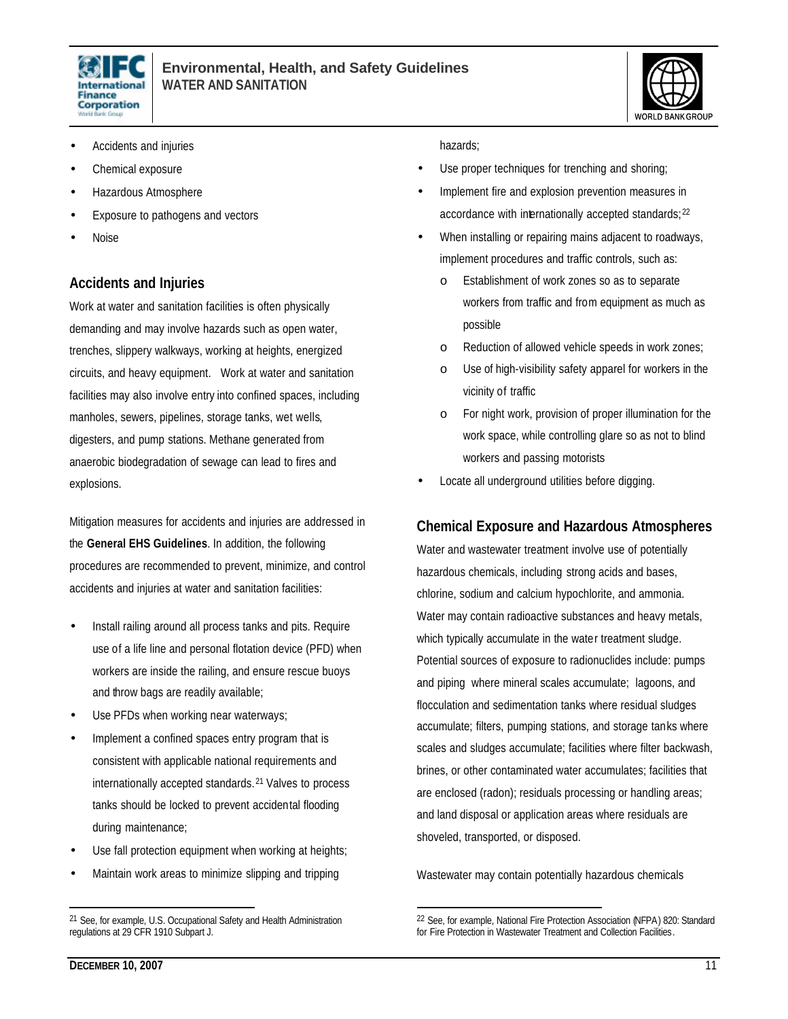



- Accidents and injuries
- Chemical exposure
- Hazardous Atmosphere
- Exposure to pathogens and vectors
- Noise

#### **Accidents and Injuries**

Work at water and sanitation facilities is often physically demanding and may involve hazards such as open water, trenches, slippery walkways, working at heights, energized circuits, and heavy equipment. Work at water and sanitation facilities may also involve entry into confined spaces, including manholes, sewers, pipelines, storage tanks, wet wells, digesters, and pump stations. Methane generated from anaerobic biodegradation of sewage can lead to fires and explosions.

Mitigation measures for accidents and injuries are addressed in the **General EHS Guidelines**. In addition, the following procedures are recommended to prevent, minimize, and control accidents and injuries at water and sanitation facilities:

- Install railing around all process tanks and pits. Require use of a life line and personal flotation device (PFD) when workers are inside the railing, and ensure rescue buoys and throw bags are readily available;
- Use PFDs when working near waterways;
- Implement a confined spaces entry program that is consistent with applicable national requirements and internationally accepted standards. <sup>21</sup> Valves to process tanks should be locked to prevent accidental flooding during maintenance;
- Use fall protection equipment when working at heights;
- Maintain work areas to minimize slipping and tripping

hazards;

- Use proper techniques for trenching and shoring;
- Implement fire and explosion prevention measures in accordance with internationally accepted standards; 22
- When installing or repairing mains adjacent to roadways, implement procedures and traffic controls, such as:
	- o Establishment of work zones so as to separate workers from traffic and from equipment as much as possible
	- o Reduction of allowed vehicle speeds in work zones;
	- o Use of high-visibility safety apparel for workers in the vicinity of traffic
	- o For night work, provision of proper illumination for the work space, while controlling glare so as not to blind workers and passing motorists
- Locate all underground utilities before digging.

#### **Chemical Exposure and Hazardous Atmospheres**

Water and wastewater treatment involve use of potentially hazardous chemicals, including strong acids and bases, chlorine, sodium and calcium hypochlorite, and ammonia. Water may contain radioactive substances and heavy metals, which typically accumulate in the water treatment sludge. Potential sources of exposure to radionuclides include: pumps and piping where mineral scales accumulate; lagoons, and flocculation and sedimentation tanks where residual sludges accumulate; filters, pumping stations, and storage tanks where scales and sludges accumulate; facilities where filter backwash, brines, or other contaminated water accumulates; facilities that are enclosed (radon); residuals processing or handling areas; and land disposal or application areas where residuals are shoveled, transported, or disposed.

Wastewater may contain potentially hazardous chemicals

L

<sup>21</sup> See, for example, U.S. Occupational Safety and Health Administration regulations at 29 CFR 1910 Subpart J.

<sup>22</sup> See, for example, National Fire Protection Association (NFPA) 820: Standard for Fire Protection in Wastewater Treatment and Collection Facilities.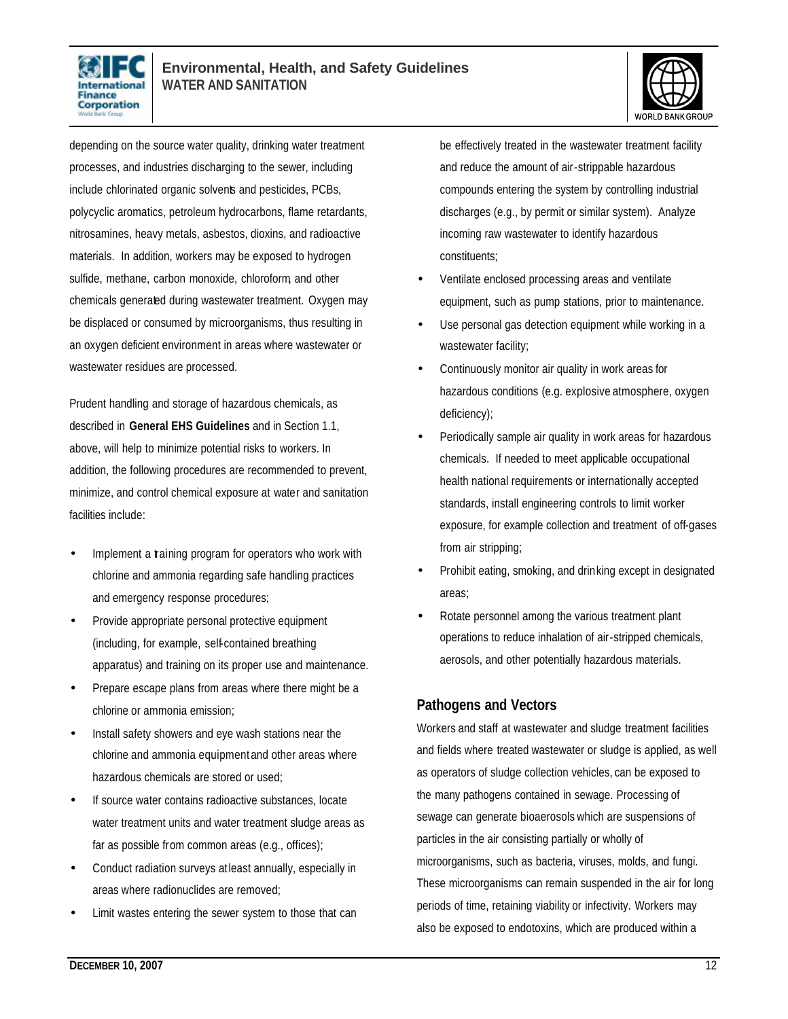



depending on the source water quality, drinking water treatment processes, and industries discharging to the sewer, including include chlorinated organic solvents and pesticides, PCBs, polycyclic aromatics, petroleum hydrocarbons, flame retardants, nitrosamines, heavy metals, asbestos, dioxins, and radioactive materials. In addition, workers may be exposed to hydrogen sulfide, methane, carbon monoxide, chloroform, and other chemicals generated during wastewater treatment. Oxygen may be displaced or consumed by microorganisms, thus resulting in an oxygen deficient environment in areas where wastewater or wastewater residues are processed.

Prudent handling and storage of hazardous chemicals, as described in **General EHS Guidelines** and in Section 1.1, above, will help to minimize potential risks to workers. In addition, the following procedures are recommended to prevent, minimize, and control chemical exposure at water and sanitation facilities include:

- Implement a training program for operators who work with chlorine and ammonia regarding safe handling practices and emergency response procedures;
- Provide appropriate personal protective equipment (including, for example, self-contained breathing apparatus) and training on its proper use and maintenance.
- Prepare escape plans from areas where there might be a chlorine or ammonia emission;
- Install safety showers and eye wash stations near the chlorine and ammonia equipment and other areas where hazardous chemicals are stored or used;
- If source water contains radioactive substances, locate water treatment units and water treatment sludge areas as far as possible from common areas (e.g., offices);
- Conduct radiation surveys at least annually, especially in areas where radionuclides are removed;
- Limit wastes entering the sewer system to those that can

be effectively treated in the wastewater treatment facility and reduce the amount of air-strippable hazardous compounds entering the system by controlling industrial discharges (e.g., by permit or similar system). Analyze incoming raw wastewater to identify hazardous constituents;

- Ventilate enclosed processing areas and ventilate equipment, such as pump stations, prior to maintenance.
- Use personal gas detection equipment while working in a wastewater facility;
- Continuously monitor air quality in work areas for hazardous conditions (e.g. explosive atmosphere, oxygen deficiency);
- Periodically sample air quality in work areas for hazardous chemicals. If needed to meet applicable occupational health national requirements or internationally accepted standards, install engineering controls to limit worker exposure, for example collection and treatment of off-gases from air stripping;
- Prohibit eating, smoking, and drinking except in designated areas;
- Rotate personnel among the various treatment plant operations to reduce inhalation of air-stripped chemicals, aerosols, and other potentially hazardous materials.

#### **Pathogens and Vectors**

Workers and staff at wastewater and sludge treatment facilities and fields where treated wastewater or sludge is applied, as well as operators of sludge collection vehicles, can be exposed to the many pathogens contained in sewage. Processing of sewage can generate bioaerosols which are suspensions of particles in the air consisting partially or wholly of microorganisms, such as bacteria, viruses, molds, and fungi. These microorganisms can remain suspended in the air for long periods of time, retaining viability or infectivity. Workers may also be exposed to endotoxins, which are produced within a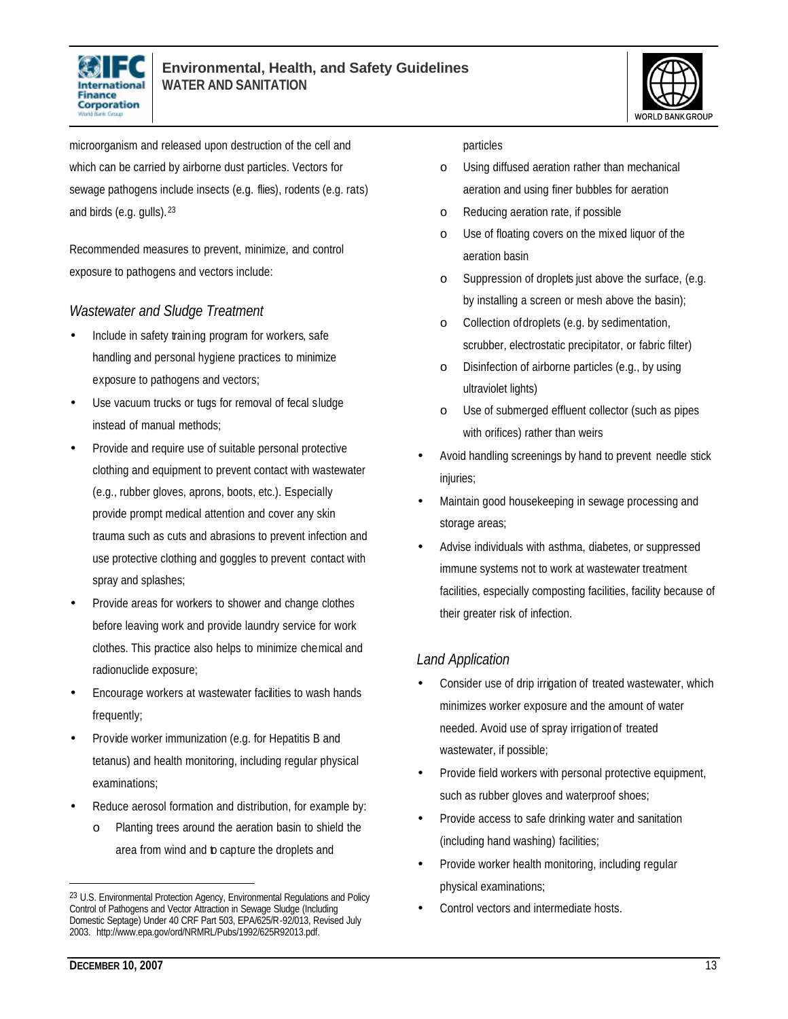



microorganism and released upon destruction of the cell and which can be carried by airborne dust particles. Vectors for sewage pathogens include insects (e.g. flies), rodents (e.g. rats) and birds (e.g. gulls). <sup>23</sup>

Recommended measures to prevent, minimize, and control exposure to pathogens and vectors include:

#### *Wastewater and Sludge Treatment*

- Include in safety training program for workers, safe handling and personal hygiene practices to minimize exposure to pathogens and vectors;
- Use vacuum trucks or tugs for removal of fecal sludge instead of manual methods;
- Provide and require use of suitable personal protective clothing and equipment to prevent contact with wastewater (e.g., rubber gloves, aprons, boots, etc.). Especially provide prompt medical attention and cover any skin trauma such as cuts and abrasions to prevent infection and use protective clothing and goggles to prevent contact with spray and splashes;
- Provide areas for workers to shower and change clothes before leaving work and provide laundry service for work clothes. This practice also helps to minimize chemical and radionuclide exposure;
- Encourage workers at wastewater facilities to wash hands frequently;
- Provide worker immunization (e.g. for Hepatitis B and tetanus) and health monitoring, including regular physical examinations;
- Reduce aerosol formation and distribution, for example by:
	- o Planting trees around the aeration basin to shield the area from wind and to capture the droplets and

#### particles

- o Using diffused aeration rather than mechanical aeration and using finer bubbles for aeration
- o Reducing aeration rate, if possible
- o Use of floating covers on the mixed liquor of the aeration basin
- o Suppression of droplets just above the surface, (e.g. by installing a screen or mesh above the basin);
- o Collection of droplets (e.g. by sedimentation, scrubber, electrostatic precipitator, or fabric filter)
- o Disinfection of airborne particles (e.g., by using ultraviolet lights)
- o Use of submerged effluent collector (such as pipes with orifices) rather than weirs
- Avoid handling screenings by hand to prevent needle stick injuries;
- Maintain good housekeeping in sewage processing and storage areas;
- Advise individuals with asthma, diabetes, or suppressed immune systems not to work at wastewater treatment facilities, especially composting facilities, facility because of their greater risk of infection.

#### *Land Application*

- Consider use of drip irrigation of treated wastewater, which minimizes worker exposure and the amount of water needed. Avoid use of spray irrigation of treated wastewater, if possible;
- Provide field workers with personal protective equipment, such as rubber gloves and waterproof shoes;
- Provide access to safe drinking water and sanitation (including hand washing) facilities;
- Provide worker health monitoring, including regular physical examinations;
- Control vectors and intermediate hosts.

<sup>23</sup> U.S. Environmental Protection Agency, Environmental Regulations and Policy Control of Pathogens and Vector Attraction in Sewage Sludge (Including Domestic Septage) Under 40 CRF Part 503, EPA/625/R-92/013, Revised July 2003. http://www.epa.gov/ord/NRMRL/Pubs/1992/625R92013.pdf.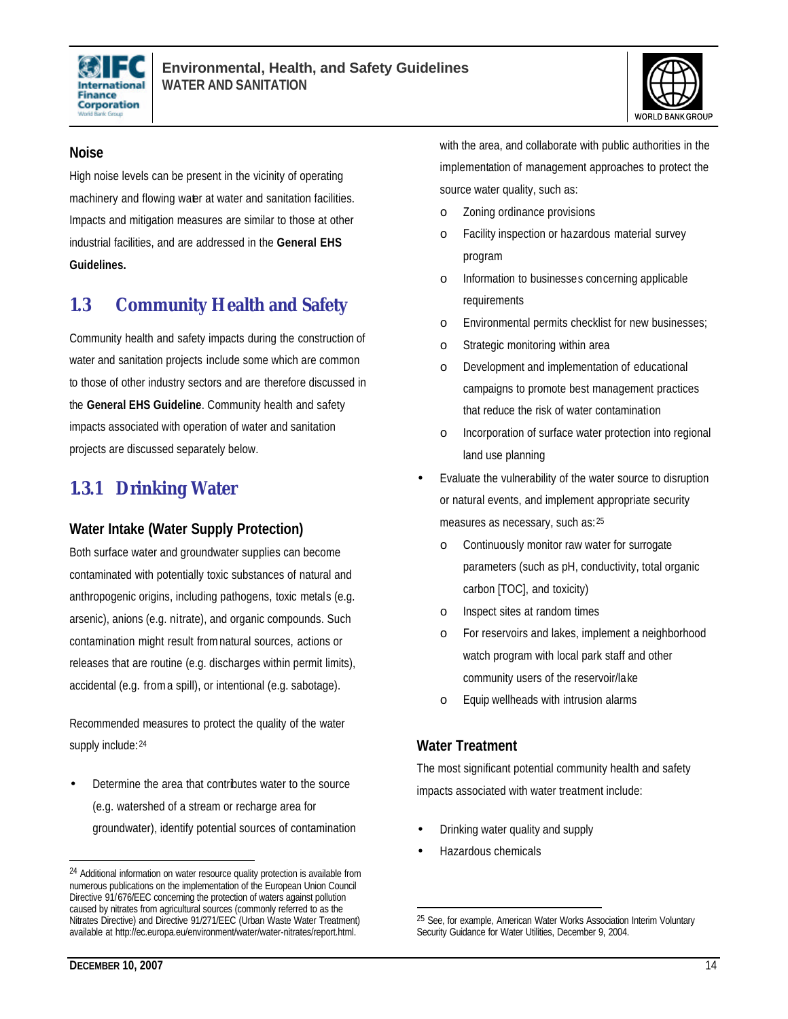



#### **Noise**

High noise levels can be present in the vicinity of operating machinery and flowing water at water and sanitation facilities. Impacts and mitigation measures are similar to those at other industrial facilities, and are addressed in the **General EHS Guidelines.**

### **1.3 Community Health and Safety**

Community health and safety impacts during the construction of water and sanitation projects include some which are common to those of other industry sectors and are therefore discussed in the **General EHS Guideline**. Community health and safety impacts associated with operation of water and sanitation projects are discussed separately below.

### **1.3.1 Drinking Water**

#### **Water Intake (Water Supply Protection)**

Both surface water and groundwater supplies can become contaminated with potentially toxic substances of natural and anthropogenic origins, including pathogens, toxic metals (e.g. arsenic), anions (e.g. nitrate), and organic compounds. Such contamination might result from natural sources, actions or releases that are routine (e.g. discharges within permit limits), accidental (e.g. from a spill), or intentional (e.g. sabotage).

Recommended measures to protect the quality of the water supply include: 24

• Determine the area that contributes water to the source (e.g. watershed of a stream or recharge area for groundwater), identify potential sources of contamination with the area, and collaborate with public authorities in the implementation of management approaches to protect the source water quality, such as:

- o Zoning ordinance provisions
- o Facility inspection or hazardous material survey program
- o Information to businesses concerning applicable requirements
- o Environmental permits checklist for new businesses;
- o Strategic monitoring within area
- o Development and implementation of educational campaigns to promote best management practices that reduce the risk of water contamination
- o Incorporation of surface water protection into regional land use planning
- Evaluate the vulnerability of the water source to disruption or natural events, and implement appropriate security measures as necessary, such as: <sup>25</sup>
	- o Continuously monitor raw water for surrogate parameters (such as pH, conductivity, total organic carbon [TOC], and toxicity)
	- o Inspect sites at random times
	- o For reservoirs and lakes, implement a neighborhood watch program with local park staff and other community users of the reservoir/lake
	- o Equip wellheads with intrusion alarms

#### **Water Treatment**

The most significant potential community health and safety impacts associated with water treatment include:

- Drinking water quality and supply
- Hazardous chemicals

L

<sup>24</sup> Additional information on water resource quality protection is available from numerous publications on the implementation of the European Union Council Directive 91/676/EEC concerning the protection of waters against pollution caused by nitrates from agricultural sources (commonly referred to as the Nitrates Directive) and Directive 91/271/EEC (Urban Waste Water Treatment) available at http://ec.europa.eu/environment/water/water-nitrates/report.html.

<sup>&</sup>lt;sup>25</sup> See, for example, American Water Works Association Interim Voluntary Security Guidance for Water Utilities, December 9, 2004.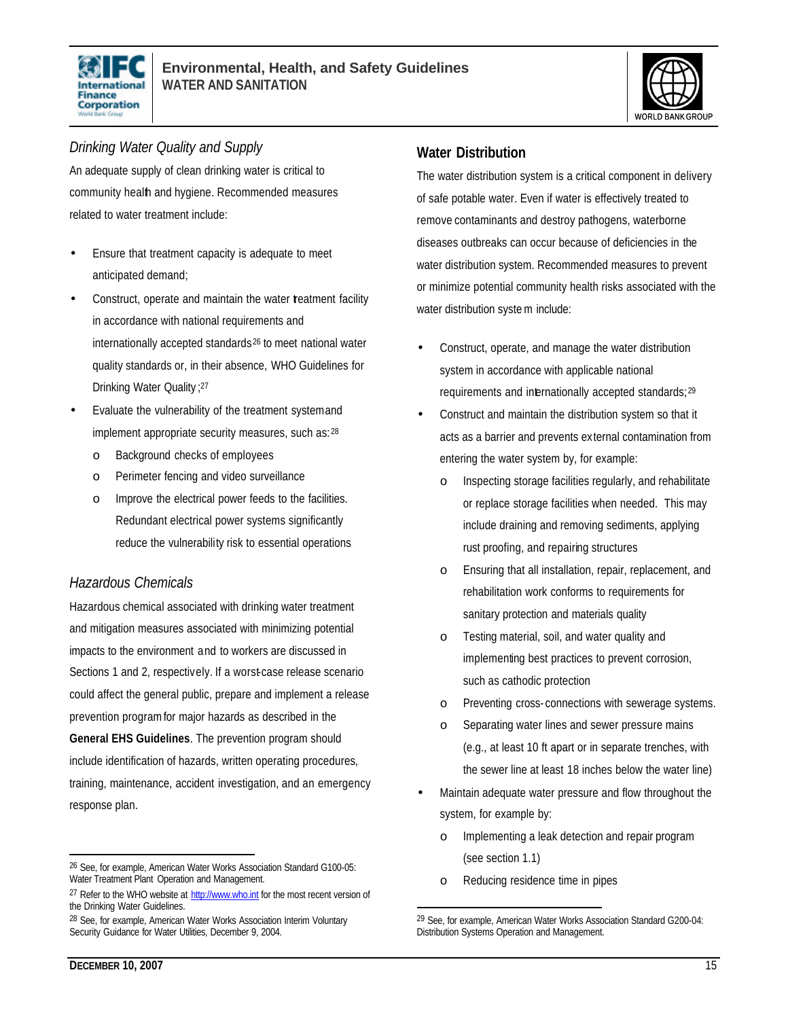



#### *Drinking Water Quality and Supply*

An adequate supply of clean drinking water is critical to community health and hygiene. Recommended measures related to water treatment include:

- Ensure that treatment capacity is adequate to meet anticipated demand;
- Construct, operate and maintain the water treatment facility in accordance with national requirements and internationally accepted standards <sup>26</sup> to meet national water quality standards or, in their absence, WHO Guidelines for Drinking Water Quality ; 27
- Evaluate the vulnerability of the treatment system and implement appropriate security measures, such as: <sup>28</sup>
	- o Background checks of employees
	- o Perimeter fencing and video surveillance
	- o Improve the electrical power feeds to the facilities. Redundant electrical power systems significantly reduce the vulnerability risk to essential operations

#### *Hazardous Chemicals*

Hazardous chemical associated with drinking water treatment and mitigation measures associated with minimizing potential impacts to the environment and to workers are discussed in Sections 1 and 2, respectively. If a worst-case release scenario could affect the general public, prepare and implement a release prevention program for major hazards as described in the **General EHS Guidelines**. The prevention program should include identification of hazards, written operating procedures, training, maintenance, accident investigation, and an emergency response plan.

#### **Water Distribution**

The water distribution system is a critical component in delivery of safe potable water. Even if water is effectively treated to remove contaminants and destroy pathogens, waterborne diseases outbreaks can occur because of deficiencies in the water distribution system. Recommended measures to prevent or minimize potential community health risks associated with the water distribution syste m include:

- Construct, operate, and manage the water distribution system in accordance with applicable national requirements and internationally accepted standards; <sup>29</sup>
- Construct and maintain the distribution system so that it acts as a barrier and prevents external contamination from entering the water system by, for example:
	- o Inspecting storage facilities regularly, and rehabilitate or replace storage facilities when needed. This may include draining and removing sediments, applying rust proofing, and repairing structures
	- o Ensuring that all installation, repair, replacement, and rehabilitation work conforms to requirements for sanitary protection and materials quality
	- o Testing material, soil, and water quality and implementing best practices to prevent corrosion, such as cathodic protection
	- o Preventing cross- connections with sewerage systems.
	- o Separating water lines and sewer pressure mains (e.g., at least 10 ft apart or in separate trenches, with the sewer line at least 18 inches below the water line)
- Maintain adequate water pressure and flow throughout the system, for example by:
	- o Implementing a leak detection and repair program (see section 1.1)
	- o Reducing residence time in pipes

L

<sup>26</sup> See, for example, American Water Works Association Standard G100-05: Water Treatment Plant Operation and Management.

<sup>&</sup>lt;sup>27</sup> Refer to the WHO website at http://www.who.int for the most recent version of the Drinking Water Guidelines.

<sup>28</sup> See, for example, American Water Works Association Interim Voluntary Security Guidance for Water Utilities, December 9, 2004.

<sup>29</sup> See, for example, American Water Works Association Standard G200-04: Distribution Systems Operation and Management.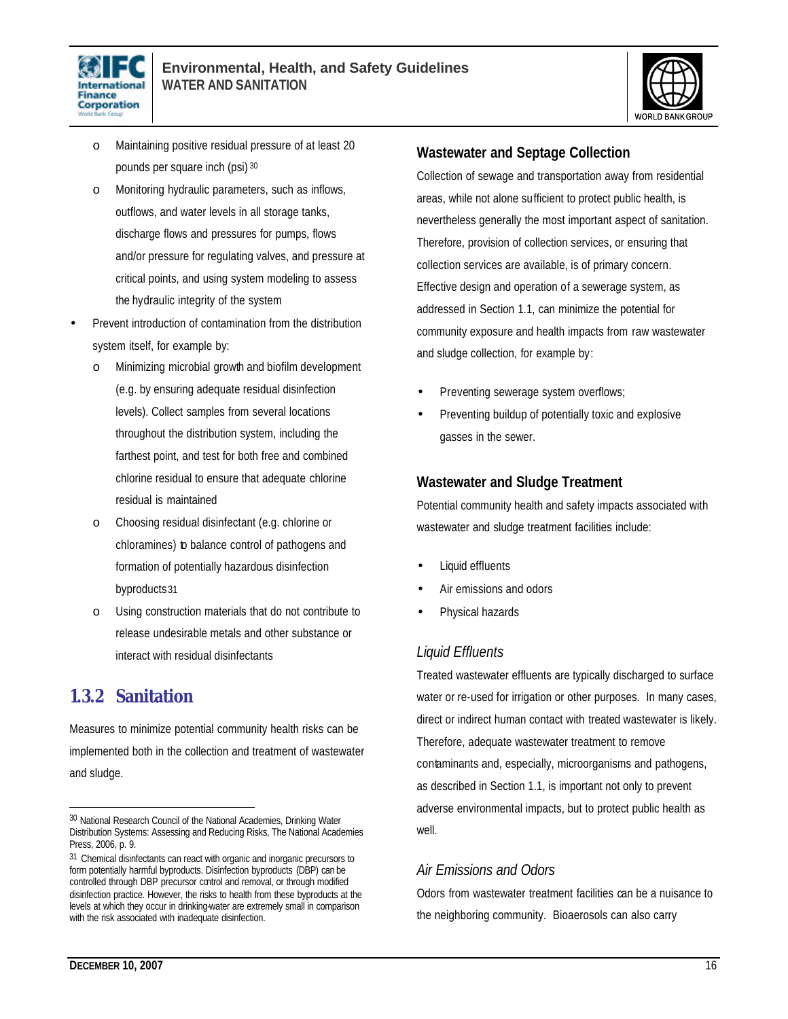



- o Maintaining positive residual pressure of at least 20 pounds per square inch (psi) <sup>30</sup>
- o Monitoring hydraulic parameters, such as inflows, outflows, and water levels in all storage tanks, discharge flows and pressures for pumps, flows and/or pressure for regulating valves, and pressure at critical points, and using system modeling to assess the hydraulic integrity of the system
- Prevent introduction of contamination from the distribution system itself, for example by:
	- o Minimizing microbial growth and biofilm development (e.g. by ensuring adequate residual disinfection levels). Collect samples from several locations throughout the distribution system, including the farthest point, and test for both free and combined chlorine residual to ensure that adequate chlorine residual is maintained
	- o Choosing residual disinfectant (e.g. chlorine or chloramines) to balance control of pathogens and formation of potentially hazardous disinfection byproducts31
	- o Using construction materials that do not contribute to release undesirable metals and other substance or interact with residual disinfectants

### **1.3.2 Sanitation**

Measures to minimize potential community health risks can be implemented both in the collection and treatment of wastewater and sludge.

#### **Wastewater and Septage Collection**

Collection of sewage and transportation away from residential areas, while not alone sufficient to protect public health, is nevertheless generally the most important aspect of sanitation. Therefore, provision of collection services, or ensuring that collection services are available, is of primary concern. Effective design and operation of a sewerage system, as addressed in Section 1.1, can minimize the potential for community exposure and health impacts from raw wastewater and sludge collection, for example by:

- Preventing sewerage system overflows;
- Preventing buildup of potentially toxic and explosive gasses in the sewer.

#### **Wastewater and Sludge Treatment**

Potential community health and safety impacts associated with wastewater and sludge treatment facilities include:

- Liquid effluents
- Air emissions and odors
- Physical hazards

#### *Liquid Effluents*

Treated wastewater effluents are typically discharged to surface water or re-used for irrigation or other purposes. In many cases, direct or indirect human contact with treated wastewater is likely. Therefore, adequate wastewater treatment to remove contaminants and, especially, microorganisms and pathogens, as described in Section 1.1, is important not only to prevent adverse environmental impacts, but to protect public health as well.

#### *Air Emissions and Odors*

Odors from wastewater treatment facilities can be a nuisance to the neighboring community. Bioaerosols can also carry

<sup>30</sup> National Research Council of the National Academies, Drinking Water Distribution Systems: Assessing and Reducing Risks, The National Academies Press, 2006, p. 9.

<sup>31</sup> Chemical disinfectants can react with organic and inorganic precursors to form potentially harmful byproducts. Disinfection byproducts (DBP) can be controlled through DBP precursor control and removal, or through modified disinfection practice. However, the risks to health from these byproducts at the levels at which they occur in drinking-water are extremely small in comparison with the risk associated with inadequate disinfection.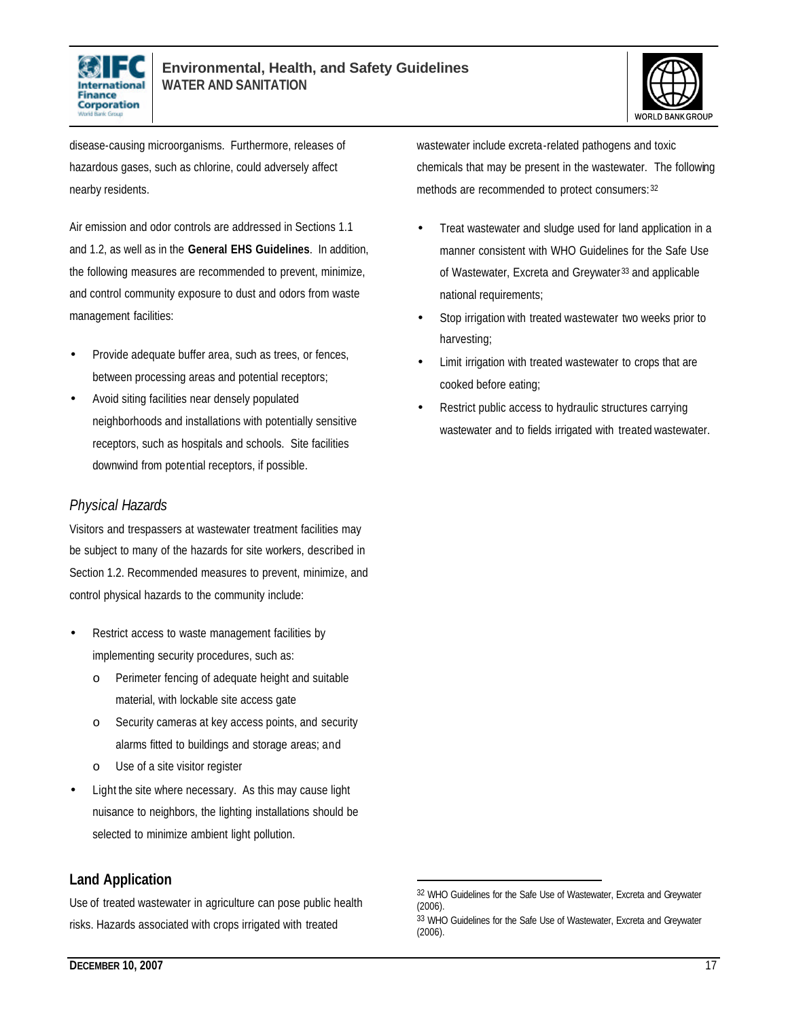



disease-causing microorganisms. Furthermore, releases of hazardous gases, such as chlorine, could adversely affect nearby residents.

Air emission and odor controls are addressed in Sections 1.1 and 1.2, as well as in the **General EHS Guidelines**. In addition, the following measures are recommended to prevent, minimize, and control community exposure to dust and odors from waste management facilities:

- Provide adequate buffer area, such as trees, or fences, between processing areas and potential receptors;
- Avoid siting facilities near densely populated neighborhoods and installations with potentially sensitive receptors, such as hospitals and schools. Site facilities downwind from potential receptors, if possible.

#### *Physical Hazards*

Visitors and trespassers at wastewater treatment facilities may be subject to many of the hazards for site workers, described in Section 1.2. Recommended measures to prevent, minimize, and control physical hazards to the community include:

- Restrict access to waste management facilities by implementing security procedures, such as:
	- o Perimeter fencing of adequate height and suitable material, with lockable site access gate
	- o Security cameras at key access points, and security alarms fitted to buildings and storage areas; and
	- Use of a site visitor register
- Light the site where necessary. As this may cause light nuisance to neighbors, the lighting installations should be selected to minimize ambient light pollution.

#### **Land Application**

Use of treated wastewater in agriculture can pose public health risks. Hazards associated with crops irrigated with treated

wastewater include excreta-related pathogens and toxic chemicals that may be present in the wastewater. The following methods are recommended to protect consumers: <sup>32</sup>

- Treat wastewater and sludge used for land application in a manner consistent with WHO Guidelines for the Safe Use of Wastewater, Excreta and Greywater <sup>33</sup> and applicable national requirements;
- Stop irrigation with treated wastewater two weeks prior to harvesting;
- Limit irrigation with treated wastewater to crops that are cooked before eating;
- Restrict public access to hydraulic structures carrying wastewater and to fields irrigated with treated wastewater.

<sup>32</sup> WHO Guidelines for the Safe Use of Wastewater, Excreta and Greywater (2006).

<sup>33</sup> WHO Guidelines for the Safe Use of Wastewater, Excreta and Greywater (2006).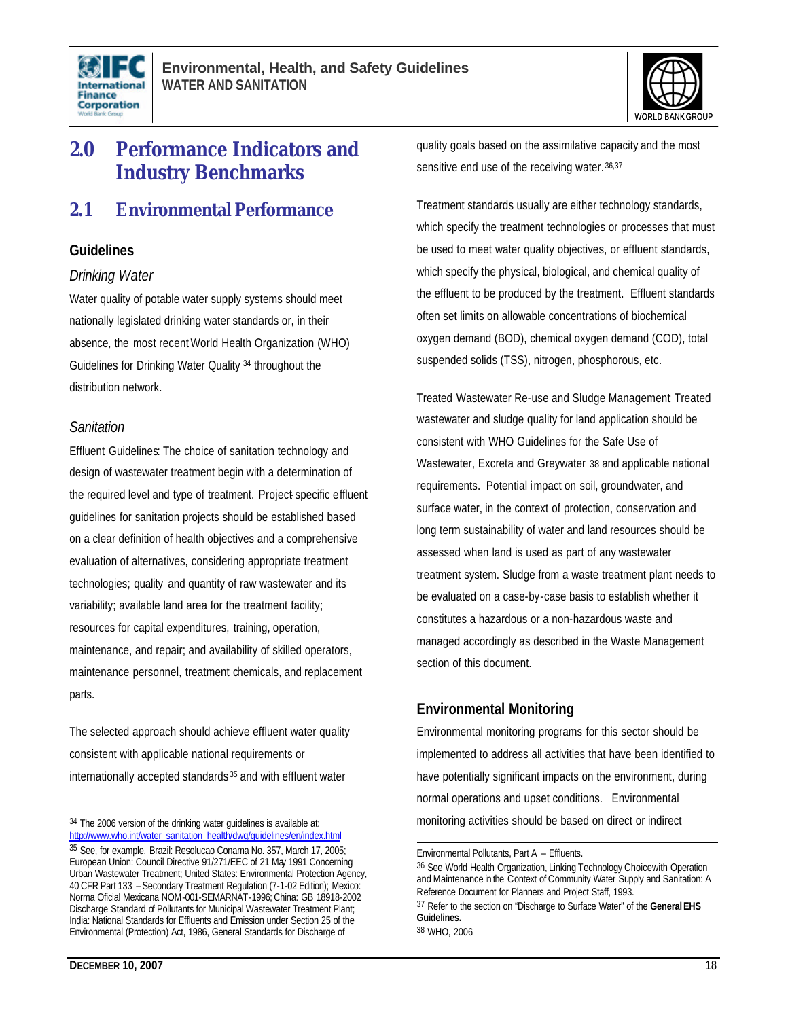



## **2.0 Performance Indicators and Industry Benchmarks**

### **2.1 Environmental Performance**

#### **Guidelines**

#### *Drinking Water*

Water quality of potable water supply systems should meet nationally legislated drinking water standards or, in their absence, the most recent World Health Organization (WHO) Guidelines for Drinking Water Quality <sup>34</sup> throughout the distribution network.

#### *Sanitation*

Effluent Guidelines: The choice of sanitation technology and design of wastewater treatment begin with a determination of the required level and type of treatment. Project specific effluent guidelines for sanitation projects should be established based on a clear definition of health objectives and a comprehensive evaluation of alternatives, considering appropriate treatment technologies; quality and quantity of raw wastewater and its variability; available land area for the treatment facility; resources for capital expenditures, training, operation, maintenance, and repair; and availability of skilled operators, maintenance personnel, treatment chemicals, and replacement parts.

The selected approach should achieve effluent water quality consistent with applicable national requirements or internationally accepted standards <sup>35</sup> and with effluent water

quality goals based on the assimilative capacity and the most sensitive end use of the receiving water. 36,37

Treatment standards usually are either technology standards, which specify the treatment technologies or processes that must be used to meet water quality objectives, or effluent standards, which specify the physical, biological, and chemical quality of the effluent to be produced by the treatment. Effluent standards often set limits on allowable concentrations of biochemical oxygen demand (BOD), chemical oxygen demand (COD), total suspended solids (TSS), nitrogen, phosphorous, etc.

Treated Wastewater Re-use and Sludge Management: Treated wastewater and sludge quality for land application should be consistent with WHO Guidelines for the Safe Use of Wastewater, Excreta and Greywater 38 and applicable national requirements. Potential impact on soil, groundwater, and surface water, in the context of protection, conservation and long term sustainability of water and land resources should be assessed when land is used as part of any wastewater treatment system. Sludge from a waste treatment plant needs to be evaluated on a case-by-case basis to establish whether it constitutes a hazardous or a non-hazardous waste and managed accordingly as described in the Waste Management section of this document.

#### **Environmental Monitoring**

Environmental monitoring programs for this sector should be implemented to address all activities that have been identified to have potentially significant impacts on the environment, during normal operations and upset conditions. Environmental monitoring activities should be based on direct or indirect

L

<sup>34</sup> The 2006 version of the drinking water guidelines is available at: http://www.who.int/water\_sanitation\_health/dwq/guidelines/en/index.html 35 See, for example, Brazil: Resolucao Conama No. 357, March 17, 2005; European Union: Council Directive 91/271/EEC of 21 May 1991 Concerning Urban Wastewater Treatment; United States: Environmental Protection Agency, 40 CFR Part 133 – Secondary Treatment Regulation (7-1-02 Edition); Mexico: Norma Oficial Mexicana NOM-001-SEMARNAT-1996; China: GB 18918-2002 Discharge Standard of Pollutants for Municipal Wastewater Treatment Plant; India: National Standards for Effluents and Emission under Section 25 of the Environmental (Protection) Act, 1986, General Standards for Discharge of

Environmental Pollutants, Part A – Effluents.

<sup>36</sup> See World Health Organization, Linking Technology Choicewith Operation and Maintenance in the Context of Community Water Supply and Sanitation: A Reference Document for Planners and Project Staff, 1993. 37 Refer to the section on "Discharge to Surface Water" of the **General EHS** 

**Guidelines.** <sup>38</sup> WHO, 2006.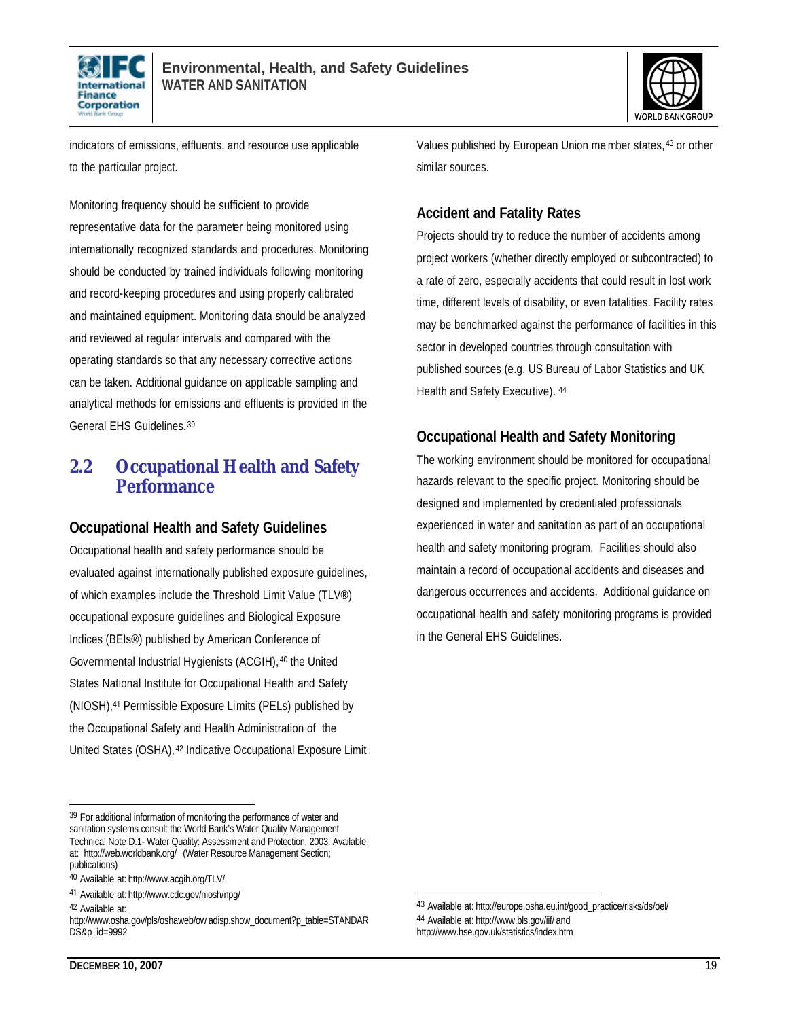



indicators of emissions, effluents, and resource use applicable to the particular project.

Monitoring frequency should be sufficient to provide representative data for the parameter being monitored using internationally recognized standards and procedures. Monitoring should be conducted by trained individuals following monitoring and record-keeping procedures and using properly calibrated and maintained equipment. Monitoring data should be analyzed and reviewed at regular intervals and compared with the operating standards so that any necessary corrective actions can be taken. Additional guidance on applicable sampling and analytical methods for emissions and effluents is provided in the General EHS Guidelines. <sup>39</sup>

### **2.2 Occupational Health and Safety Performance**

#### **Occupational Health and Safety Guidelines**

Occupational health and safety performance should be evaluated against internationally published exposure guidelines, of which examples include the Threshold Limit Value (TLV®) occupational exposure guidelines and Biological Exposure Indices (BEIs®) published by American Conference of Governmental Industrial Hygienists (ACGIH), <sup>40</sup> the United States National Institute for Occupational Health and Safety (NIOSH),41 Permissible Exposure Limits (PELs) published by the Occupational Safety and Health Administration of the United States (OSHA), <sup>42</sup> Indicative Occupational Exposure Limit

42 Available at:

L

Values published by European Union member states, <sup>43</sup> or other simi lar sources.

#### **Accident and Fatality Rates**

Projects should try to reduce the number of accidents among project workers (whether directly employed or subcontracted) to a rate of zero, especially accidents that could result in lost work time, different levels of disability, or even fatalities. Facility rates may be benchmarked against the performance of facilities in this sector in developed countries through consultation with published sources (e.g. US Bureau of Labor Statistics and UK Health and Safety Executive). <sup>44</sup>

#### **Occupational Health and Safety Monitoring**

The working environment should be monitored for occupational hazards relevant to the specific project. Monitoring should be designed and implemented by credentialed professionals experienced in water and sanitation as part of an occupational health and safety monitoring program. Facilities should also maintain a record of occupational accidents and diseases and dangerous occurrences and accidents. Additional guidance on occupational health and safety monitoring programs is provided in the General EHS Guidelines.

<sup>&</sup>lt;sup>39</sup> For additional information of monitoring the performance of water and sanitation systems consult the World Bank's Water Quality Management Technical Note D.1- Water Quality: Assessment and Protection, 2003. Available at: http://web.worldbank.org/ (Water Resource Management Section; publications)

<sup>40</sup> Available at: http://www.acgih.org/TLV/

<sup>41</sup> Available at: http://www.cdc.gov/niosh/npg/

http://www.osha.gov/pls/oshaweb/ow adisp.show\_document?p\_table=STANDAR DS&p\_id=9992

<sup>43</sup> Available at: http://europe.osha.eu.int/good\_practice/risks/ds/oel/ 44 Available at: http://www.bls.gov/iif/ and http://www.hse.gov.uk/statistics/index.htm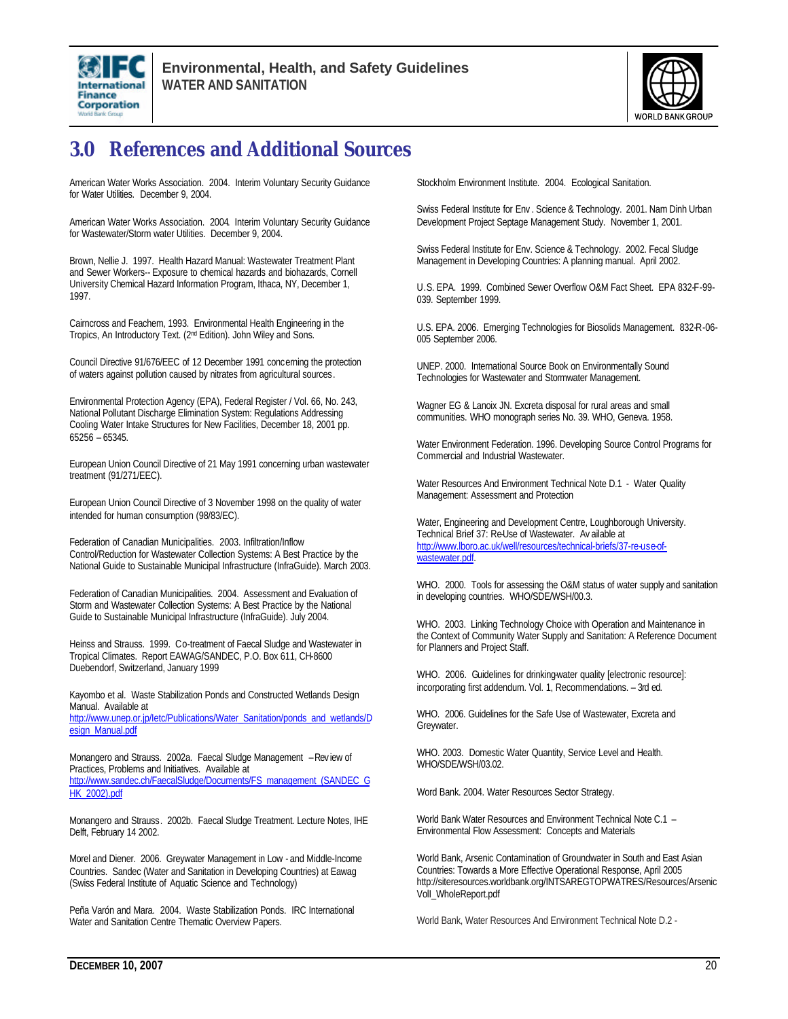



## **3.0 References and Additional Sources**

American Water Works Association. 2004. Interim Voluntary Security Guidance for Water Utilities. December 9, 2004.

American Water Works Association. 2004. Interim Voluntary Security Guidance for Wastewater/Storm water Utilities. December 9, 2004.

Brown, Nellie J. 1997. Health Hazard Manual: Wastewater Treatment Plant and Sewer Workers-- Exposure to chemical hazards and biohazards, Cornell University Chemical Hazard Information Program, Ithaca, NY, December 1, 1997.

Cairncross and Feachem, 1993. Environmental Health Engineering in the Tropics, An Introductory Text. (2nd Edition). John Wiley and Sons.

Council Directive 91/676/EEC of 12 December 1991 concerning the protection of waters against pollution caused by nitrates from agricultural sources.

Environmental Protection Agency (EPA), Federal Register / Vol. 66, No. 243, National Pollutant Discharge Elimination System: Regulations Addressing Cooling Water Intake Structures for New Facilities, December 18, 2001 pp. 65256 – 65345.

European Union Council Directive of 21 May 1991 concerning urban wastewater treatment (91/271/EEC).

European Union Council Directive of 3 November 1998 on the quality of water intended for human consumption (98/83/EC).

Federation of Canadian Municipalities. 2003. Infiltration/Inflow Control/Reduction for Wastewater Collection Systems: A Best Practice by the National Guide to Sustainable Municipal Infrastructure (InfraGuide). March 2003.

Federation of Canadian Municipalities. 2004. Assessment and Evaluation of Storm and Wastewater Collection Systems: A Best Practice by the National Guide to Sustainable Municipal Infrastructure (InfraGuide). July 2004.

Heinss and Strauss. 1999. Co-treatment of Faecal Sludge and Wastewater in Tropical Climates. Report EAWAG/SANDEC, P.O. Box 611, CH-8600 Duebendorf, Switzerland, January 1999

Kayombo et al. Waste Stabilization Ponds and Constructed Wetlands Design Manual. Available at http://www.unep.or.jp/letc/Publications/Water\_Sanitation/ponds\_and\_wetlands/D esign\_Manual.pdf

Monangero and Strauss. 2002a. Faecal Sludge Management – Rev iew of Practices, Problems and Initiatives. Available at http://www.sandec.ch/FaecalSludge/Documents/FS\_management\_(SANDEC\_G HK\_2002).pdf

Monangero and Strauss. 2002b. Faecal Sludge Treatment. Lecture Notes, IHE Delft, February 14 2002.

Morel and Diener. 2006. Greywater Management in Low - and Middle-Income Countries. Sandec (Water and Sanitation in Developing Countries) at Eawag (Swiss Federal Institute of Aquatic Science and Technology)

Peña Varón and Mara. 2004. Waste Stabilization Ponds. IRC International Water and Sanitation Centre Thematic Overview Papers.

Stockholm Environment Institute. 2004. Ecological Sanitation.

Swiss Federal Institute for Env . Science & Technology. 2001. Nam Dinh Urban Development Project Septage Management Study. November 1, 2001.

Swiss Federal Institute for Env. Science & Technology. 2002. Fecal Sludge Management in Developing Countries: A planning manual. April 2002.

U.S. EPA. 1999. Combined Sewer Overflow O&M Fact Sheet. EPA 832-F-99- 039. September 1999.

U.S. EPA. 2006. Emerging Technologies for Biosolids Management. 832-R-06- 005 September 2006.

UNEP. 2000. International Source Book on Environmentally Sound Technologies for Wastewater and Stormwater Management.

Wagner EG & Lanoix JN. Excreta disposal for rural areas and small communities. WHO monograph series No. 39. WHO, Geneva. 1958.

Water Environment Federation. 1996. Developing Source Control Programs for Commercial and Industrial Wastewater.

Water Resources And Environment Technical Note D.1 - Water Quality Management: Assessment and Protection

Water, Engineering and Development Centre, Loughborough University. Technical Brief 37: Re-Use of Wastewater. Av ailable at http://www.lboro.ac.uk/well/resources/technical-briefs/37-re-use-ofwastewater.pdf.

WHO. 2000. Tools for assessing the O&M status of water supply and sanitation in developing countries. WHO/SDE/WSH/00.3.

WHO. 2003. Linking Technology Choice with Operation and Maintenance in the Context of Community Water Supply and Sanitation: A Reference Document for Planners and Project Staff.

WHO. 2006. Guidelines for drinking-water quality [electronic resource]: incorporating first addendum. Vol. 1, Recommendations. – 3rd ed.

WHO. 2006. Guidelines for the Safe Use of Wastewater, Excreta and Greywater.

WHO. 2003. Domestic Water Quantity, Service Level and Health. WHO/SDE/WSH/03.02.

Word Bank. 2004. Water Resources Sector Strategy.

World Bank Water Resources and Environment Technical Note C.1 – Environmental Flow Assessment: Concepts and Materials

World Bank, Arsenic Contamination of Groundwater in South and East Asian Countries: Towards a More Effective Operational Response, April 2005 http://siteresources.worldbank.org/INTSAREGTOPWATRES/Resources/Arsenic VolI\_WholeReport.pdf

World Bank, Water Resources And Environment Technical Note D.2 -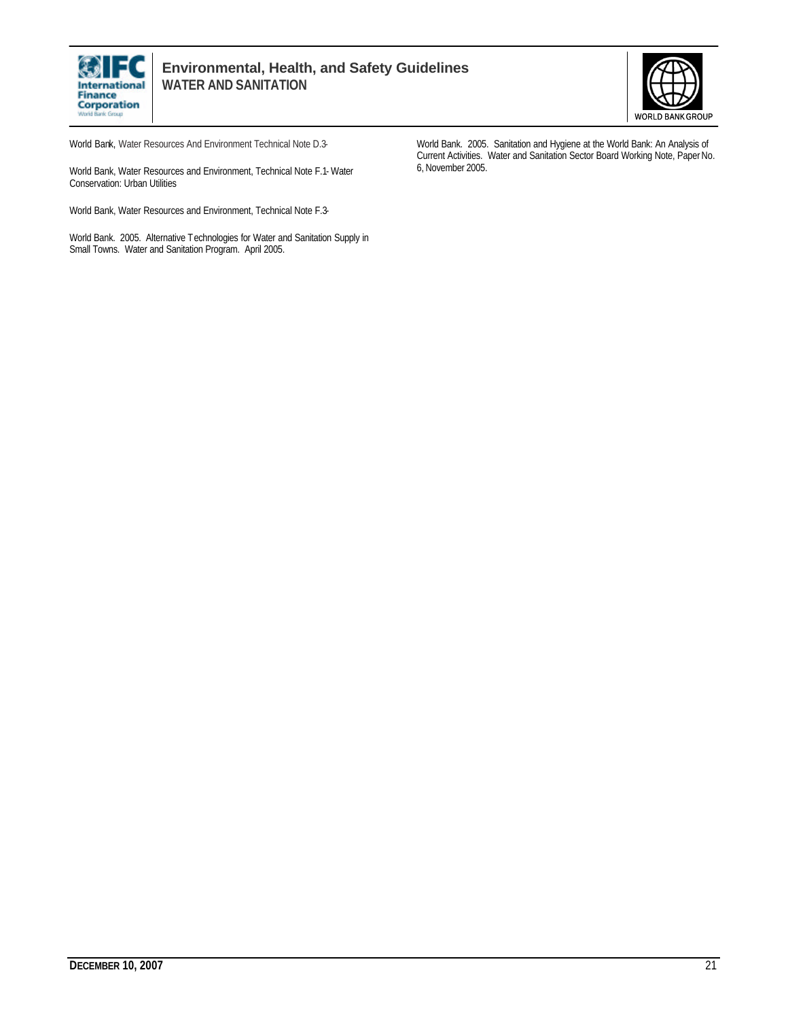



World Bank, Water Resources And Environment Technical Note D.3-

World Bank, Water Resources and Environment, Technical Note F.1- Water Conservation: Urban Utilities

World Bank, Water Resources and Environment, Technical Note F.3-

World Bank. 2005. Alternative Technologies for Water and Sanitation Supply in Small Towns. Water and Sanitation Program. April 2005.

World Bank. 2005. Sanitation and Hygiene at the World Bank: An Analysis of Current Activities. Water and Sanitation Sector Board Working Note, Paper No. 6, November 2005.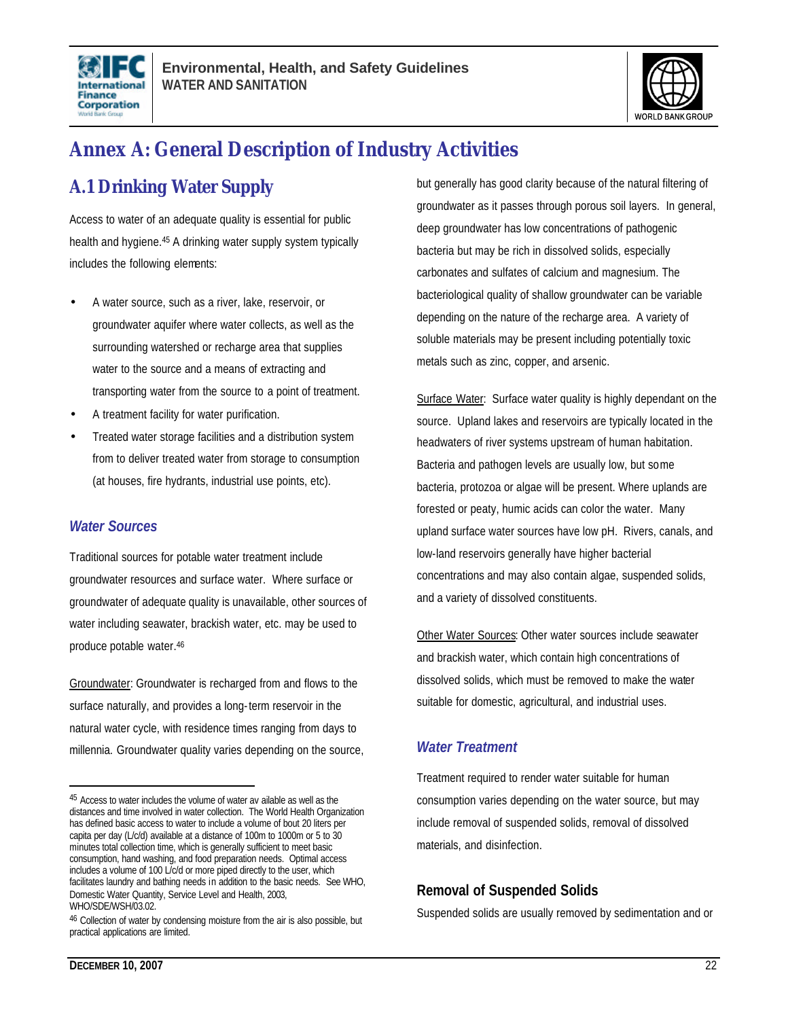



## **Annex A: General Description of Industry Activities**

## **A.1 Drinking Water Supply**

Access to water of an adequate quality is essential for public health and hygiene.<sup>45</sup> A drinking water supply system typically includes the following elements:

- A water source, such as a river, lake, reservoir, or groundwater aquifer where water collects, as well as the surrounding watershed or recharge area that supplies water to the source and a means of extracting and transporting water from the source to a point of treatment.
- A treatment facility for water purification.
- Treated water storage facilities and a distribution system from to deliver treated water from storage to consumption (at houses, fire hydrants, industrial use points, etc).

#### *Water Sources*

Traditional sources for potable water treatment include groundwater resources and surface water. Where surface or groundwater of adequate quality is unavailable, other sources of water including seawater, brackish water, etc. may be used to produce potable water.<sup>46</sup>

Groundwater: Groundwater is recharged from and flows to the surface naturally, and provides a long-term reservoir in the natural water cycle, with residence times ranging from days to millennia. Groundwater quality varies depending on the source, but generally has good clarity because of the natural filtering of groundwater as it passes through porous soil layers. In general, deep groundwater has low concentrations of pathogenic bacteria but may be rich in dissolved solids, especially carbonates and sulfates of calcium and magnesium. The bacteriological quality of shallow groundwater can be variable depending on the nature of the recharge area. A variety of soluble materials may be present including potentially toxic metals such as zinc, copper, and arsenic.

Surface Water: Surface water quality is highly dependant on the source. Upland lakes and reservoirs are typically located in the headwaters of river systems upstream of human habitation. Bacteria and pathogen levels are usually low, but some bacteria, protozoa or algae will be present. Where uplands are forested or peaty, humic acids can color the water. Many upland surface water sources have low pH. Rivers, canals, and low-land reservoirs generally have higher bacterial concentrations and may also contain algae, suspended solids, and a variety of dissolved constituents.

Other Water Sources: Other water sources include seawater and brackish water, which contain high concentrations of dissolved solids, which must be removed to make the water suitable for domestic, agricultural, and industrial uses.

#### *Water Treatment*

Treatment required to render water suitable for human consumption varies depending on the water source, but may include removal of suspended solids, removal of dissolved materials, and disinfection.

#### **Removal of Suspended Solids**

Suspended solids are usually removed by sedimentation and or

<sup>45</sup> Access to water includes the volume of water av ailable as well as the distances and time involved in water collection. The World Health Organization has defined basic access to water to include a volume of bout 20 liters per capita per day (L/c/d) available at a distance of 100m to 1000m or 5 to 30 minutes total collection time, which is generally sufficient to meet basic consumption, hand washing, and food preparation needs. Optimal access includes a volume of 100 L/c/d or more piped directly to the user, which facilitates laundry and bathing needs in addition to the basic needs. See WHO, Domestic Water Quantity, Service Level and Health, 2003, WHO/SDE/WSH/03.02.

<sup>&</sup>lt;sup>46</sup> Collection of water by condensing moisture from the air is also possible, but practical applications are limited.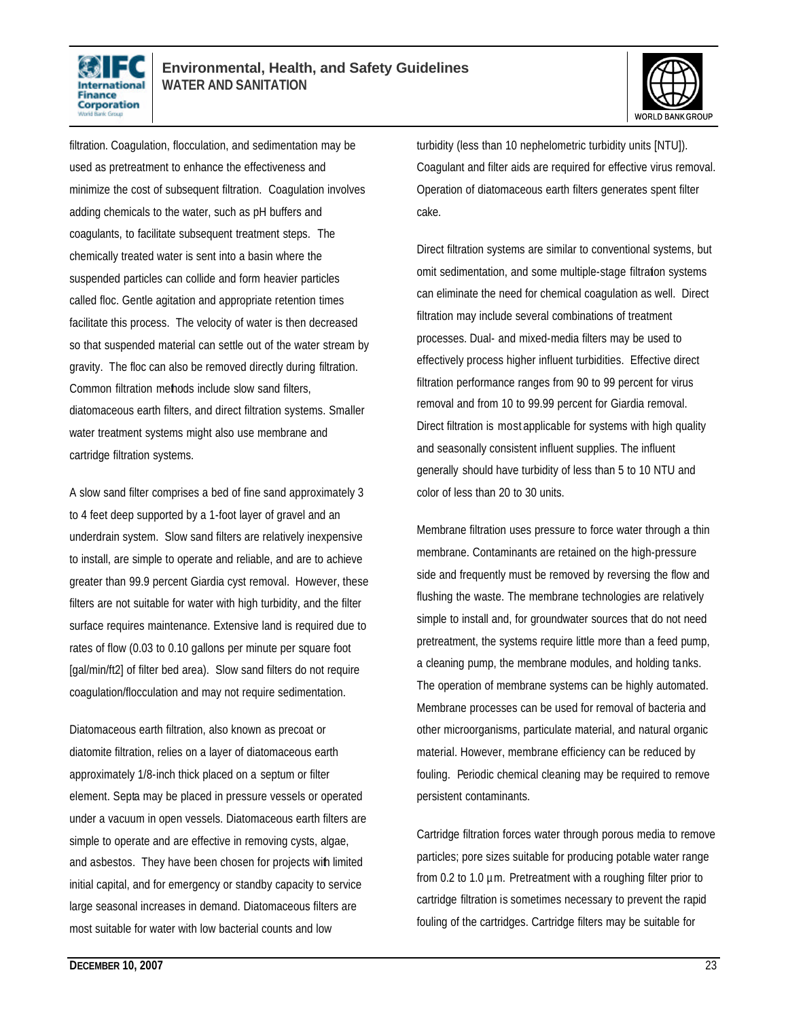



filtration. Coagulation, flocculation, and sedimentation may be used as pretreatment to enhance the effectiveness and minimize the cost of subsequent filtration. Coagulation involves adding chemicals to the water, such as pH buffers and coagulants, to facilitate subsequent treatment steps. The chemically treated water is sent into a basin where the suspended particles can collide and form heavier particles called floc. Gentle agitation and appropriate retention times facilitate this process. The velocity of water is then decreased so that suspended material can settle out of the water stream by gravity. The floc can also be removed directly during filtration. Common filtration methods include slow sand filters, diatomaceous earth filters, and direct filtration systems. Smaller water treatment systems might also use membrane and cartridge filtration systems.

A slow sand filter comprises a bed of fine sand approximately 3 to 4 feet deep supported by a 1-foot layer of gravel and an underdrain system. Slow sand filters are relatively inexpensive to install, are simple to operate and reliable, and are to achieve greater than 99.9 percent Giardia cyst removal. However, these filters are not suitable for water with high turbidity, and the filter surface requires maintenance. Extensive land is required due to rates of flow (0.03 to 0.10 gallons per minute per square foot [gal/min/ft2] of filter bed area). Slow sand filters do not require coagulation/flocculation and may not require sedimentation.

Diatomaceous earth filtration, also known as precoat or diatomite filtration, relies on a layer of diatomaceous earth approximately 1/8-inch thick placed on a septum or filter element. Septa may be placed in pressure vessels or operated under a vacuum in open vessels. Diatomaceous earth filters are simple to operate and are effective in removing cysts, algae, and asbestos. They have been chosen for projects with limited initial capital, and for emergency or standby capacity to service large seasonal increases in demand. Diatomaceous filters are most suitable for water with low bacterial counts and low

turbidity (less than 10 nephelometric turbidity units [NTU]). Coagulant and filter aids are required for effective virus removal. Operation of diatomaceous earth filters generates spent filter cake.

Direct filtration systems are similar to conventional systems, but omit sedimentation, and some multiple-stage filtration systems can eliminate the need for chemical coagulation as well. Direct filtration may include several combinations of treatment processes. Dual- and mixed-media filters may be used to effectively process higher influent turbidities. Effective direct filtration performance ranges from 90 to 99 percent for virus removal and from 10 to 99.99 percent for Giardia removal. Direct filtration is most applicable for systems with high quality and seasonally consistent influent supplies. The influent generally should have turbidity of less than 5 to 10 NTU and color of less than 20 to 30 units.

Membrane filtration uses pressure to force water through a thin membrane. Contaminants are retained on the high-pressure side and frequently must be removed by reversing the flow and flushing the waste. The membrane technologies are relatively simple to install and, for groundwater sources that do not need pretreatment, the systems require little more than a feed pump, a cleaning pump, the membrane modules, and holding tanks. The operation of membrane systems can be highly automated. Membrane processes can be used for removal of bacteria and other microorganisms, particulate material, and natural organic material. However, membrane efficiency can be reduced by fouling. Periodic chemical cleaning may be required to remove persistent contaminants.

Cartridge filtration forces water through porous media to remove particles; pore sizes suitable for producing potable water range from 0.2 to 1.0 µm. Pretreatment with a roughing filter prior to cartridge filtration is sometimes necessary to prevent the rapid fouling of the cartridges. Cartridge filters may be suitable for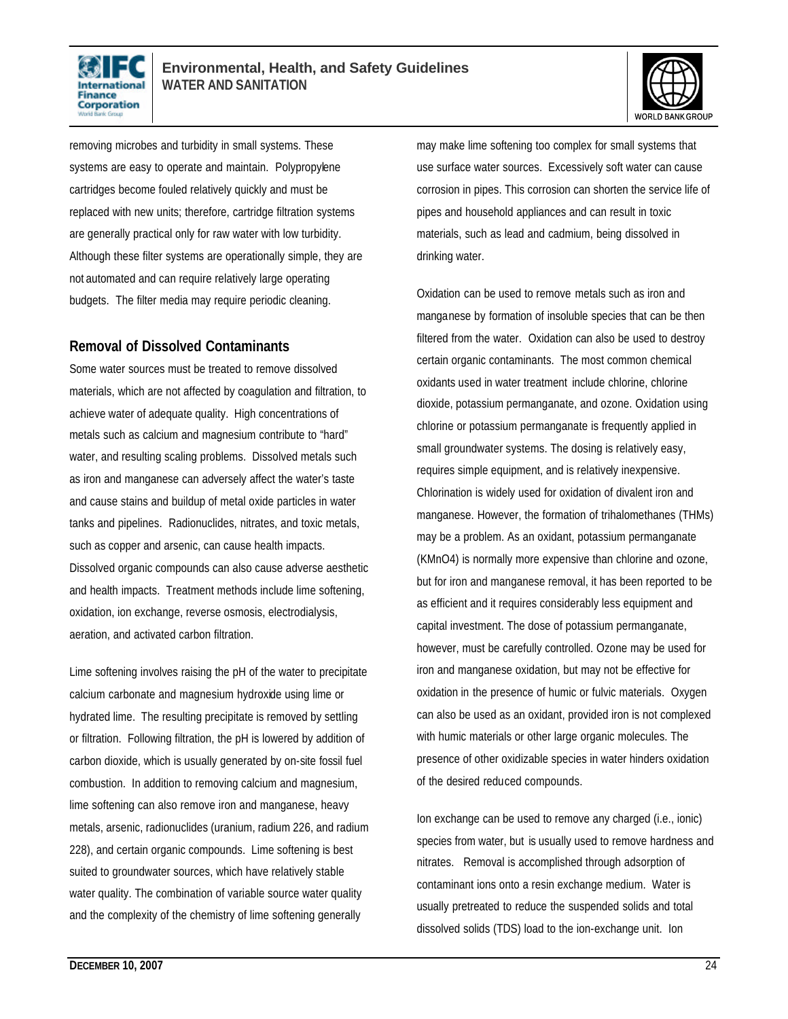



removing microbes and turbidity in small systems. These systems are easy to operate and maintain. Polypropylene cartridges become fouled relatively quickly and must be replaced with new units; therefore, cartridge filtration systems are generally practical only for raw water with low turbidity. Although these filter systems are operationally simple, they are not automated and can require relatively large operating budgets. The filter media may require periodic cleaning.

#### **Removal of Dissolved Contaminants**

Some water sources must be treated to remove dissolved materials, which are not affected by coagulation and filtration, to achieve water of adequate quality. High concentrations of metals such as calcium and magnesium contribute to "hard" water, and resulting scaling problems. Dissolved metals such as iron and manganese can adversely affect the water's taste and cause stains and buildup of metal oxide particles in water tanks and pipelines. Radionuclides, nitrates, and toxic metals, such as copper and arsenic, can cause health impacts. Dissolved organic compounds can also cause adverse aesthetic and health impacts. Treatment methods include lime softening, oxidation, ion exchange, reverse osmosis, electrodialysis, aeration, and activated carbon filtration.

Lime softening involves raising the pH of the water to precipitate calcium carbonate and magnesium hydroxide using lime or hydrated lime. The resulting precipitate is removed by settling or filtration. Following filtration, the pH is lowered by addition of carbon dioxide, which is usually generated by on-site fossil fuel combustion. In addition to removing calcium and magnesium, lime softening can also remove iron and manganese, heavy metals, arsenic, radionuclides (uranium, radium 226, and radium 228), and certain organic compounds. Lime softening is best suited to groundwater sources, which have relatively stable water quality. The combination of variable source water quality and the complexity of the chemistry of lime softening generally

may make lime softening too complex for small systems that use surface water sources. Excessively soft water can cause corrosion in pipes. This corrosion can shorten the service life of pipes and household appliances and can result in toxic materials, such as lead and cadmium, being dissolved in drinking water.

Oxidation can be used to remove metals such as iron and manganese by formation of insoluble species that can be then filtered from the water. Oxidation can also be used to destroy certain organic contaminants. The most common chemical oxidants used in water treatment include chlorine, chlorine dioxide, potassium permanganate, and ozone. Oxidation using chlorine or potassium permanganate is frequently applied in small groundwater systems. The dosing is relatively easy, requires simple equipment, and is relatively inexpensive. Chlorination is widely used for oxidation of divalent iron and manganese. However, the formation of trihalomethanes (THMs) may be a problem. As an oxidant, potassium permanganate (KMnO4) is normally more expensive than chlorine and ozone, but for iron and manganese removal, it has been reported to be as efficient and it requires considerably less equipment and capital investment. The dose of potassium permanganate, however, must be carefully controlled. Ozone may be used for iron and manganese oxidation, but may not be effective for oxidation in the presence of humic or fulvic materials. Oxygen can also be used as an oxidant, provided iron is not complexed with humic materials or other large organic molecules. The presence of other oxidizable species in water hinders oxidation of the desired reduced compounds.

Ion exchange can be used to remove any charged (i.e., ionic) species from water, but is usually used to remove hardness and nitrates. Removal is accomplished through adsorption of contaminant ions onto a resin exchange medium. Water is usually pretreated to reduce the suspended solids and total dissolved solids (TDS) load to the ion-exchange unit. Ion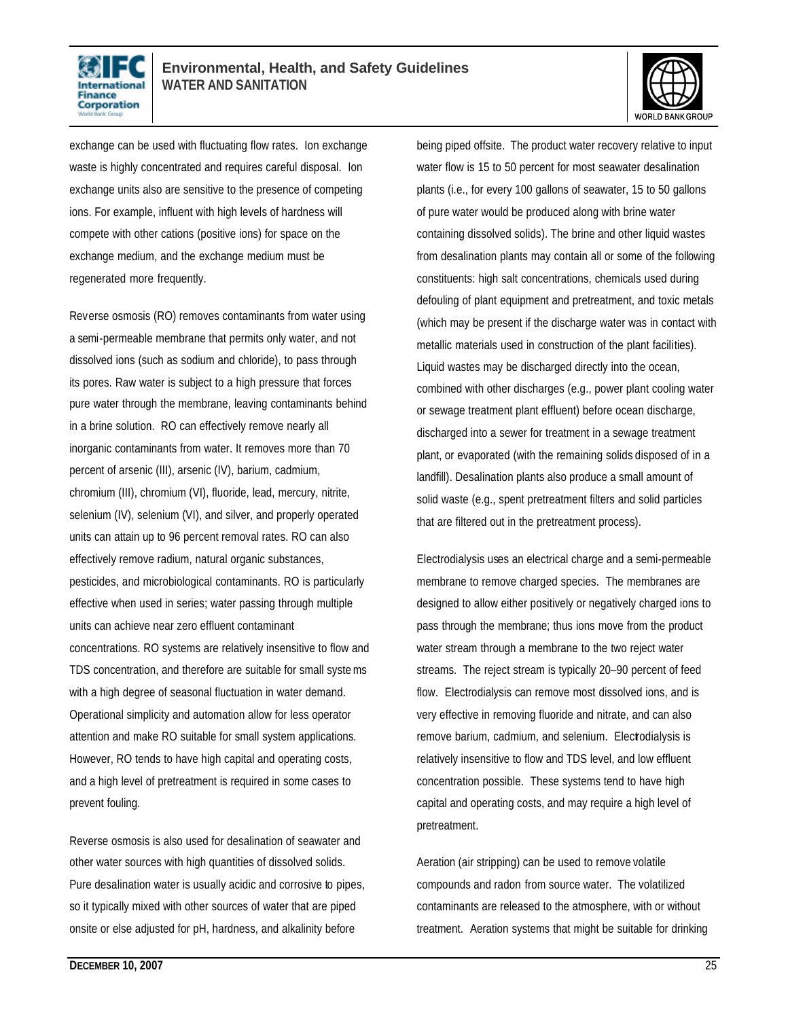



exchange can be used with fluctuating flow rates. Ion exchange waste is highly concentrated and requires careful disposal. Ion exchange units also are sensitive to the presence of competing ions. For example, influent with high levels of hardness will compete with other cations (positive ions) for space on the exchange medium, and the exchange medium must be regenerated more frequently.

Reverse osmosis (RO) removes contaminants from water using a semi-permeable membrane that permits only water, and not dissolved ions (such as sodium and chloride), to pass through its pores. Raw water is subject to a high pressure that forces pure water through the membrane, leaving contaminants behind in a brine solution. RO can effectively remove nearly all inorganic contaminants from water. It removes more than 70 percent of arsenic (III), arsenic (IV), barium, cadmium, chromium (III), chromium (VI), fluoride, lead, mercury, nitrite, selenium (IV), selenium (VI), and silver, and properly operated units can attain up to 96 percent removal rates. RO can also effectively remove radium, natural organic substances, pesticides, and microbiological contaminants. RO is particularly effective when used in series; water passing through multiple units can achieve near zero effluent contaminant concentrations. RO systems are relatively insensitive to flow and TDS concentration, and therefore are suitable for small systems with a high degree of seasonal fluctuation in water demand. Operational simplicity and automation allow for less operator attention and make RO suitable for small system applications. However, RO tends to have high capital and operating costs, and a high level of pretreatment is required in some cases to prevent fouling.

Reverse osmosis is also used for desalination of seawater and other water sources with high quantities of dissolved solids. Pure desalination water is usually acidic and corrosive to pipes, so it typically mixed with other sources of water that are piped onsite or else adjusted for pH, hardness, and alkalinity before

being piped offsite. The product water recovery relative to input water flow is 15 to 50 percent for most seawater desalination plants (i.e., for every 100 gallons of seawater, 15 to 50 gallons of pure water would be produced along with brine water containing dissolved solids). The brine and other liquid wastes from desalination plants may contain all or some of the following constituents: high salt concentrations, chemicals used during defouling of plant equipment and pretreatment, and toxic metals (which may be present if the discharge water was in contact with metallic materials used in construction of the plant facilities). Liquid wastes may be discharged directly into the ocean, combined with other discharges (e.g., power plant cooling water or sewage treatment plant effluent) before ocean discharge, discharged into a sewer for treatment in a sewage treatment plant, or evaporated (with the remaining solids disposed of in a landfill). Desalination plants also produce a small amount of solid waste (e.g., spent pretreatment filters and solid particles that are filtered out in the pretreatment process).

Electrodialysis uses an electrical charge and a semi-permeable membrane to remove charged species. The membranes are designed to allow either positively or negatively charged ions to pass through the membrane; thus ions move from the product water stream through a membrane to the two reject water streams. The reject stream is typically 20–90 percent of feed flow. Electrodialysis can remove most dissolved ions, and is very effective in removing fluoride and nitrate, and can also remove barium, cadmium, and selenium. Electodialysis is relatively insensitive to flow and TDS level, and low effluent concentration possible. These systems tend to have high capital and operating costs, and may require a high level of pretreatment.

Aeration (air stripping) can be used to remove volatile compounds and radon from source water. The volatilized contaminants are released to the atmosphere, with or without treatment. Aeration systems that might be suitable for drinking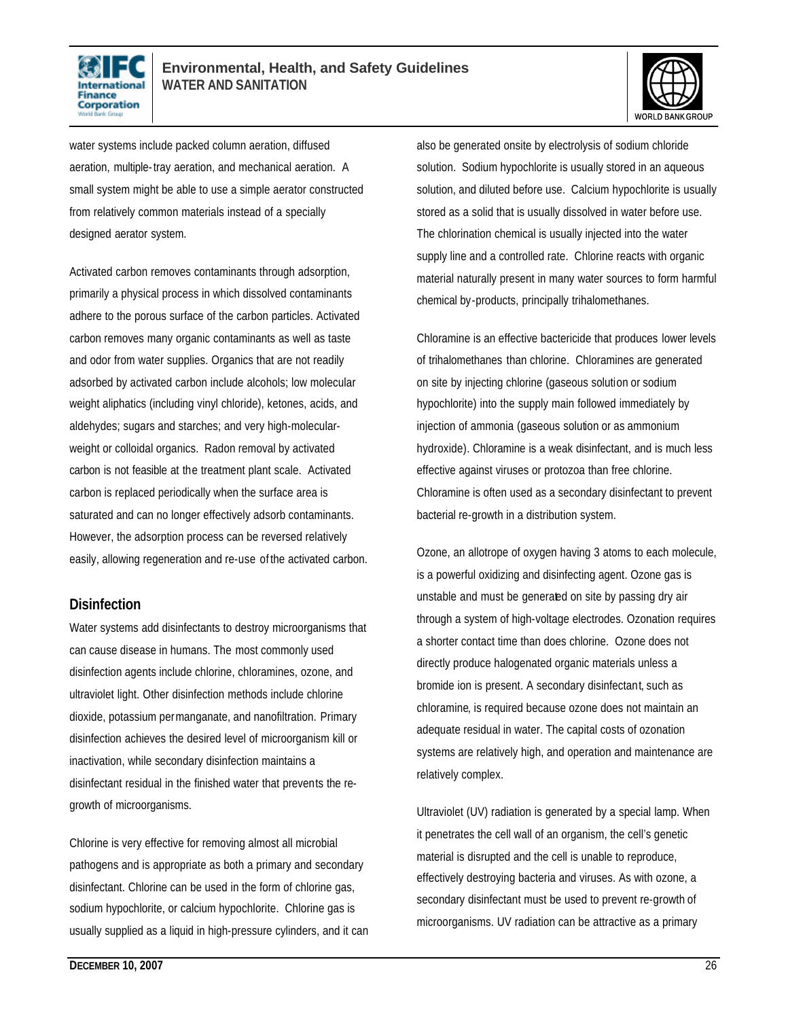



water systems include packed column aeration, diffused aeration, multiple-tray aeration, and mechanical aeration. A small system might be able to use a simple aerator constructed from relatively common materials instead of a specially designed aerator system.

Activated carbon removes contaminants through adsorption, primarily a physical process in which dissolved contaminants adhere to the porous surface of the carbon particles. Activated carbon removes many organic contaminants as well as taste and odor from water supplies. Organics that are not readily adsorbed by activated carbon include alcohols; low molecular weight aliphatics (including vinyl chloride), ketones, acids, and aldehydes; sugars and starches; and very high-molecularweight or colloidal organics. Radon removal by activated carbon is not feasible at the treatment plant scale. Activated carbon is replaced periodically when the surface area is saturated and can no longer effectively adsorb contaminants. However, the adsorption process can be reversed relatively easily, allowing regeneration and re-use of the activated carbon.

#### **Disinfection**

Water systems add disinfectants to destroy microorganisms that can cause disease in humans. The most commonly used disinfection agents include chlorine, chloramines, ozone, and ultraviolet light. Other disinfection methods include chlorine dioxide, potassium permanganate, and nanofiltration. Primary disinfection achieves the desired level of microorganism kill or inactivation, while secondary disinfection maintains a disinfectant residual in the finished water that prevents the regrowth of microorganisms.

Chlorine is very effective for removing almost all microbial pathogens and is appropriate as both a primary and secondary disinfectant. Chlorine can be used in the form of chlorine gas, sodium hypochlorite, or calcium hypochlorite. Chlorine gas is usually supplied as a liquid in high-pressure cylinders, and it can also be generated onsite by electrolysis of sodium chloride solution. Sodium hypochlorite is usually stored in an aqueous solution, and diluted before use. Calcium hypochlorite is usually stored as a solid that is usually dissolved in water before use. The chlorination chemical is usually injected into the water supply line and a controlled rate. Chlorine reacts with organic material naturally present in many water sources to form harmful chemical by-products, principally trihalomethanes.

Chloramine is an effective bactericide that produces lower levels of trihalomethanes than chlorine. Chloramines are generated on site by injecting chlorine (gaseous solution or sodium hypochlorite) into the supply main followed immediately by injection of ammonia (gaseous solution or as ammonium hydroxide). Chloramine is a weak disinfectant, and is much less effective against viruses or protozoa than free chlorine. Chloramine is often used as a secondary disinfectant to prevent bacterial re-growth in a distribution system.

Ozone, an allotrope of oxygen having 3 atoms to each molecule, is a powerful oxidizing and disinfecting agent. Ozone gas is unstable and must be generated on site by passing dry air through a system of high-voltage electrodes. Ozonation requires a shorter contact time than does chlorine. Ozone does not directly produce halogenated organic materials unless a bromide ion is present. A secondary disinfectant, such as chloramine, is required because ozone does not maintain an adequate residual in water. The capital costs of ozonation systems are relatively high, and operation and maintenance are relatively complex.

Ultraviolet (UV) radiation is generated by a special lamp. When it penetrates the cell wall of an organism, the cell's genetic material is disrupted and the cell is unable to reproduce, effectively destroying bacteria and viruses. As with ozone, a secondary disinfectant must be used to prevent re-growth of microorganisms. UV radiation can be attractive as a primary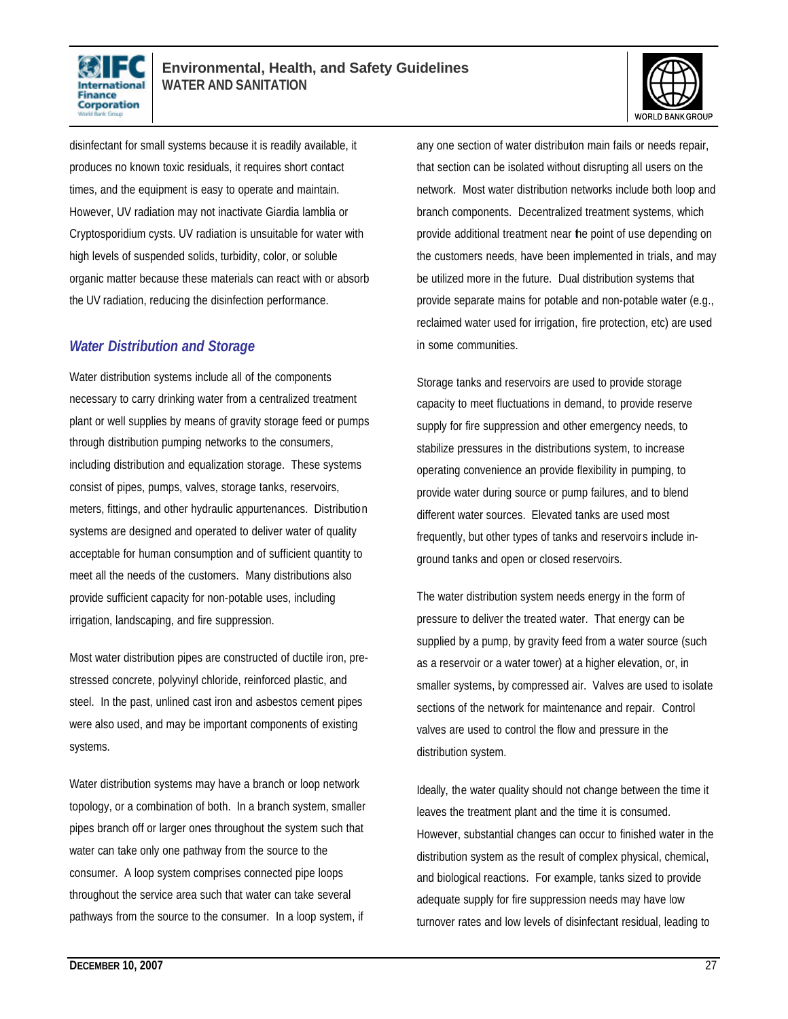



disinfectant for small systems because it is readily available, it produces no known toxic residuals, it requires short contact times, and the equipment is easy to operate and maintain. However, UV radiation may not inactivate Giardia lamblia or Cryptosporidium cysts. UV radiation is unsuitable for water with high levels of suspended solids, turbidity, color, or soluble organic matter because these materials can react with or absorb the UV radiation, reducing the disinfection performance.

#### *Water Distribution and Storage*

Water distribution systems include all of the components necessary to carry drinking water from a centralized treatment plant or well supplies by means of gravity storage feed or pumps through distribution pumping networks to the consumers, including distribution and equalization storage. These systems consist of pipes, pumps, valves, storage tanks, reservoirs, meters, fittings, and other hydraulic appurtenances. Distribution systems are designed and operated to deliver water of quality acceptable for human consumption and of sufficient quantity to meet all the needs of the customers. Many distributions also provide sufficient capacity for non-potable uses, including irrigation, landscaping, and fire suppression.

Most water distribution pipes are constructed of ductile iron, prestressed concrete, polyvinyl chloride, reinforced plastic, and steel. In the past, unlined cast iron and asbestos cement pipes were also used, and may be important components of existing systems.

Water distribution systems may have a branch or loop network topology, or a combination of both. In a branch system, smaller pipes branch off or larger ones throughout the system such that water can take only one pathway from the source to the consumer. A loop system comprises connected pipe loops throughout the service area such that water can take several pathways from the source to the consumer. In a loop system, if

any one section of water distribution main fails or needs repair, that section can be isolated without disrupting all users on the network. Most water distribution networks include both loop and branch components. Decentralized treatment systems, which provide additional treatment near the point of use depending on the customers needs, have been implemented in trials, and may be utilized more in the future. Dual distribution systems that provide separate mains for potable and non-potable water (e.g., reclaimed water used for irrigation, fire protection, etc) are used in some communities.

Storage tanks and reservoirs are used to provide storage capacity to meet fluctuations in demand, to provide reserve supply for fire suppression and other emergency needs, to stabilize pressures in the distributions system, to increase operating convenience an provide flexibility in pumping, to provide water during source or pump failures, and to blend different water sources. Elevated tanks are used most frequently, but other types of tanks and reservoirs include inground tanks and open or closed reservoirs.

The water distribution system needs energy in the form of pressure to deliver the treated water. That energy can be supplied by a pump, by gravity feed from a water source (such as a reservoir or a water tower) at a higher elevation, or, in smaller systems, by compressed air. Valves are used to isolate sections of the network for maintenance and repair. Control valves are used to control the flow and pressure in the distribution system.

Ideally, the water quality should not change between the time it leaves the treatment plant and the time it is consumed. However, substantial changes can occur to finished water in the distribution system as the result of complex physical, chemical, and biological reactions. For example, tanks sized to provide adequate supply for fire suppression needs may have low turnover rates and low levels of disinfectant residual, leading to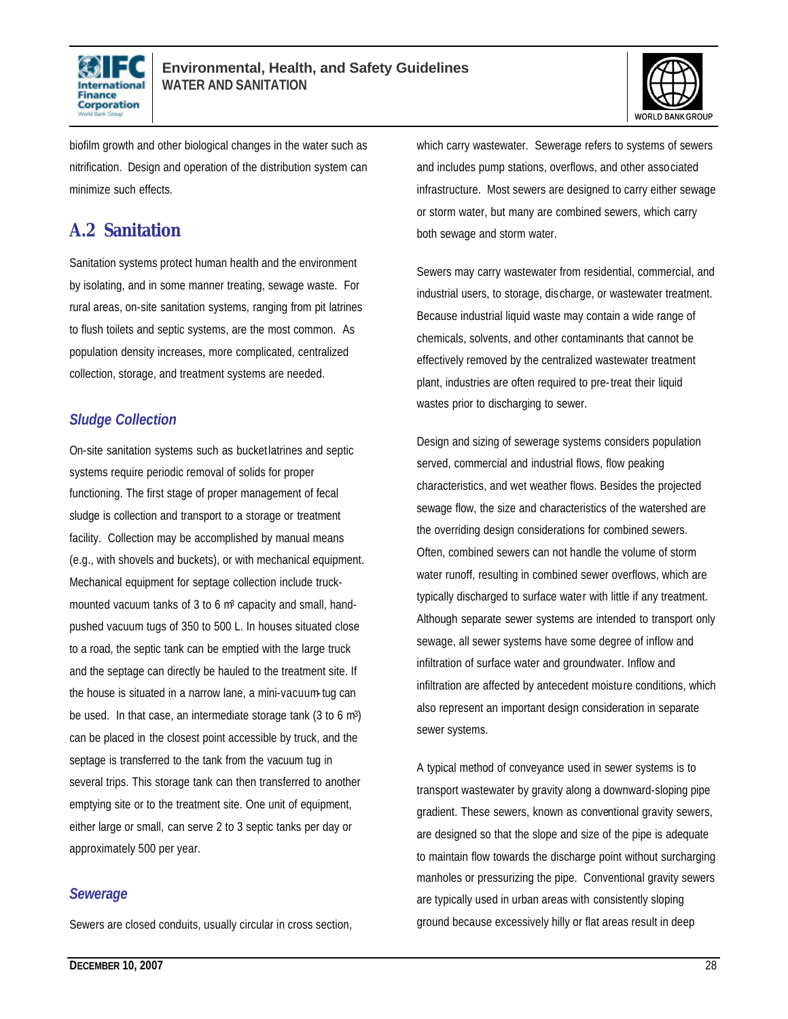



biofilm growth and other biological changes in the water such as nitrification. Design and operation of the distribution system can minimize such effects.

### **A.2 Sanitation**

Sanitation systems protect human health and the environment by isolating, and in some manner treating, sewage waste. For rural areas, on-site sanitation systems, ranging from pit latrines to flush toilets and septic systems, are the most common. As population density increases, more complicated, centralized collection, storage, and treatment systems are needed.

#### *Sludge Collection*

On-site sanitation systems such as bucket latrines and septic systems require periodic removal of solids for proper functioning. The first stage of proper management of fecal sludge is collection and transport to a storage or treatment facility. Collection may be accomplished by manual means (e.g., with shovels and buckets), or with mechanical equipment. Mechanical equipment for septage collection include truckmounted vacuum tanks of 3 to 6 m<sup>3</sup> capacity and small, handpushed vacuum tugs of 350 to 500 L. In houses situated close to a road, the septic tank can be emptied with the large truck and the septage can directly be hauled to the treatment site. If the house is situated in a narrow lane, a mini-vacuum-tug can be used. In that case, an intermediate storage tank (3 to 6 m3) can be placed in the closest point accessible by truck, and the septage is transferred to the tank from the vacuum tug in several trips. This storage tank can then transferred to another emptying site or to the treatment site. One unit of equipment, either large or small, can serve 2 to 3 septic tanks per day or approximately 500 per year.

#### *Sewerage*

Sewers are closed conduits, usually circular in cross section,

which carry wastewater. Sewerage refers to systems of sewers and includes pump stations, overflows, and other associated infrastructure. Most sewers are designed to carry either sewage or storm water, but many are combined sewers, which carry both sewage and storm water.

Sewers may carry wastewater from residential, commercial, and industrial users, to storage, discharge, or wastewater treatment. Because industrial liquid waste may contain a wide range of chemicals, solvents, and other contaminants that cannot be effectively removed by the centralized wastewater treatment plant, industries are often required to pre-treat their liquid wastes prior to discharging to sewer.

Design and sizing of sewerage systems considers population served, commercial and industrial flows, flow peaking characteristics, and wet weather flows. Besides the projected sewage flow, the size and characteristics of the watershed are the overriding design considerations for combined sewers. Often, combined sewers can not handle the volume of storm water runoff, resulting in combined sewer overflows, which are typically discharged to surface water with little if any treatment. Although separate sewer systems are intended to transport only sewage, all sewer systems have some degree of inflow and infiltration of surface water and groundwater. Inflow and infiltration are affected by antecedent moisture conditions, which also represent an important design consideration in separate sewer systems.

A typical method of conveyance used in sewer systems is to transport wastewater by gravity along a downward-sloping pipe gradient. These sewers, known as conventional gravity sewers, are designed so that the slope and size of the pipe is adequate to maintain flow towards the discharge point without surcharging manholes or pressurizing the pipe. Conventional gravity sewers are typically used in urban areas with consistently sloping ground because excessively hilly or flat areas result in deep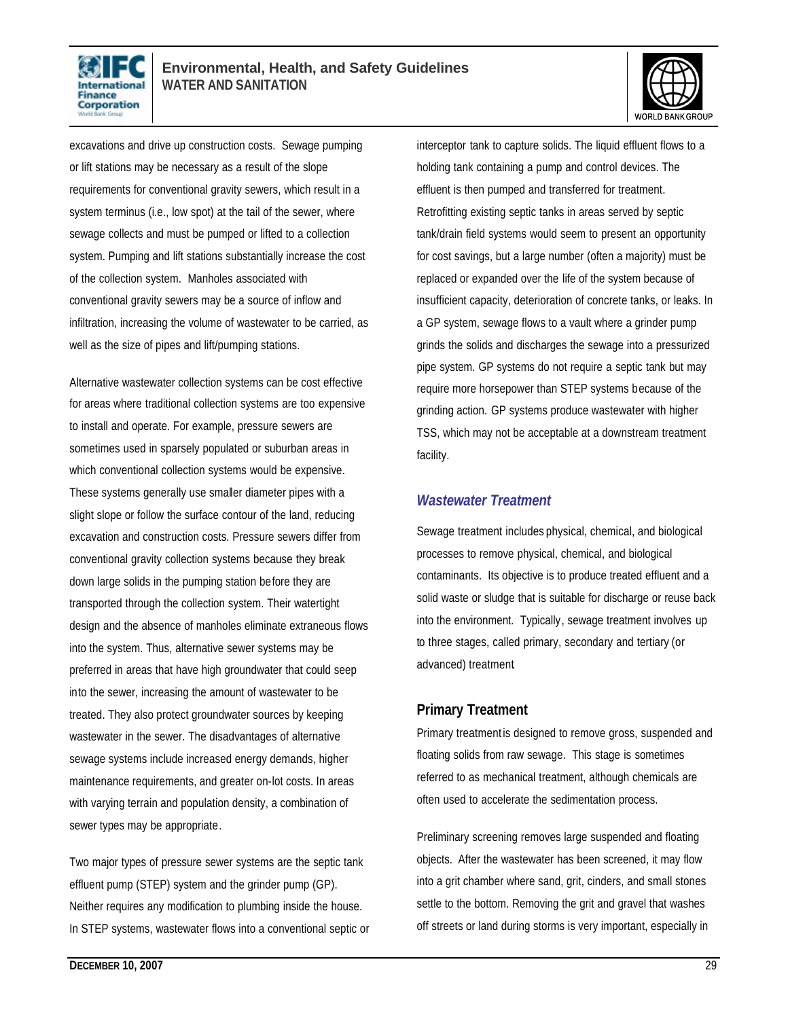



excavations and drive up construction costs. Sewage pumping or lift stations may be necessary as a result of the slope requirements for conventional gravity sewers, which result in a system terminus (i.e., low spot) at the tail of the sewer, where sewage collects and must be pumped or lifted to a collection system. Pumping and lift stations substantially increase the cost of the collection system. Manholes associated with conventional gravity sewers may be a source of inflow and infiltration, increasing the volume of wastewater to be carried, as well as the size of pipes and lift/pumping stations.

Alternative wastewater collection systems can be cost effective for areas where traditional collection systems are too expensive to install and operate. For example, pressure sewers are sometimes used in sparsely populated or suburban areas in which conventional collection systems would be expensive. These systems generally use smaller diameter pipes with a slight slope or follow the surface contour of the land, reducing excavation and construction costs. Pressure sewers differ from conventional gravity collection systems because they break down large solids in the pumping station before they are transported through the collection system. Their watertight design and the absence of manholes eliminate extraneous flows into the system. Thus, alternative sewer systems may be preferred in areas that have high groundwater that could seep into the sewer, increasing the amount of wastewater to be treated. They also protect groundwater sources by keeping wastewater in the sewer. The disadvantages of alternative sewage systems include increased energy demands, higher maintenance requirements, and greater on-lot costs. In areas with varying terrain and population density, a combination of sewer types may be appropriate.

Two major types of pressure sewer systems are the septic tank effluent pump (STEP) system and the grinder pump (GP). Neither requires any modification to plumbing inside the house. In STEP systems, wastewater flows into a conventional septic or interceptor tank to capture solids. The liquid effluent flows to a holding tank containing a pump and control devices. The effluent is then pumped and transferred for treatment. Retrofitting existing septic tanks in areas served by septic tank/drain field systems would seem to present an opportunity for cost savings, but a large number (often a majority) must be replaced or expanded over the life of the system because of insufficient capacity, deterioration of concrete tanks, or leaks. In a GP system, sewage flows to a vault where a grinder pump grinds the solids and discharges the sewage into a pressurized pipe system. GP systems do not require a septic tank but may require more horsepower than STEP systems because of the grinding action. GP systems produce wastewater with higher TSS, which may not be acceptable at a downstream treatment facility.

#### *Wastewater Treatment*

Sewage treatment includes physical, chemical, and biological processes to remove physical, chemical, and biological contaminants. Its objective is to produce treated effluent and a solid waste or sludge that is suitable for discharge or reuse back into the environment. Typically, sewage treatment involves up to three stages, called primary, secondary and tertiary (or advanced) treatment.

#### **Primary Treatment**

Primary treatment is designed to remove gross, suspended and floating solids from raw sewage. This stage is sometimes referred to as mechanical treatment, although chemicals are often used to accelerate the sedimentation process.

Preliminary screening removes large suspended and floating objects. After the wastewater has been screened, it may flow into a grit chamber where sand, grit, cinders, and small stones settle to the bottom. Removing the grit and gravel that washes off streets or land during storms is very important, especially in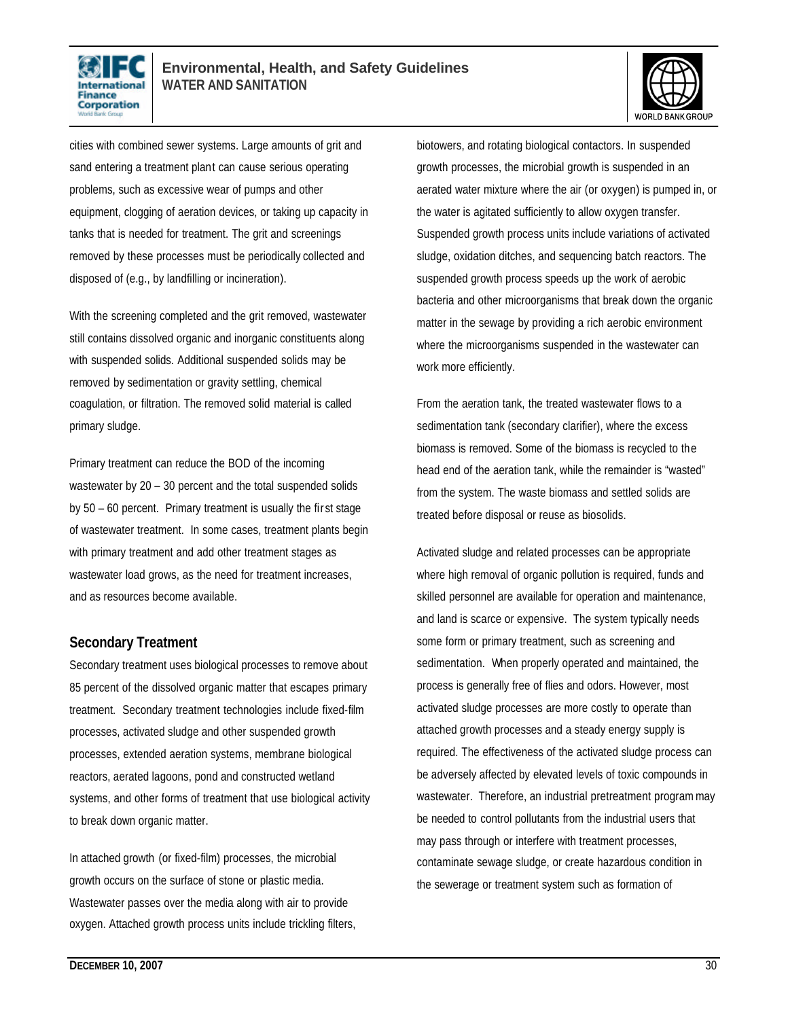



cities with combined sewer systems. Large amounts of grit and sand entering a treatment plant can cause serious operating problems, such as excessive wear of pumps and other equipment, clogging of aeration devices, or taking up capacity in tanks that is needed for treatment. The grit and screenings removed by these processes must be periodically collected and disposed of (e.g., by landfilling or incineration).

With the screening completed and the grit removed, wastewater still contains dissolved organic and inorganic constituents along with suspended solids. Additional suspended solids may be removed by sedimentation or gravity settling, chemical coagulation, or filtration. The removed solid material is called primary sludge.

Primary treatment can reduce the BOD of the incoming wastewater by 20 – 30 percent and the total suspended solids by 50 – 60 percent. Primary treatment is usually the fir st stage of wastewater treatment. In some cases, treatment plants begin with primary treatment and add other treatment stages as wastewater load grows, as the need for treatment increases, and as resources become available.

#### **Secondary Treatment**

Secondary treatment uses biological processes to remove about 85 percent of the dissolved organic matter that escapes primary treatment. Secondary treatment technologies include fixed-film processes, activated sludge and other suspended growth processes, extended aeration systems, membrane biological reactors, aerated lagoons, pond and constructed wetland systems, and other forms of treatment that use biological activity to break down organic matter.

In attached growth (or fixed-film) processes, the microbial growth occurs on the surface of stone or plastic media. Wastewater passes over the media along with air to provide oxygen. Attached growth process units include trickling filters, biotowers, and rotating biological contactors. In suspended growth processes, the microbial growth is suspended in an aerated water mixture where the air (or oxygen) is pumped in, or the water is agitated sufficiently to allow oxygen transfer. Suspended growth process units include variations of activated sludge, oxidation ditches, and sequencing batch reactors. The suspended growth process speeds up the work of aerobic bacteria and other microorganisms that break down the organic matter in the sewage by providing a rich aerobic environment where the microorganisms suspended in the wastewater can work more efficiently.

From the aeration tank, the treated wastewater flows to a sedimentation tank (secondary clarifier), where the excess biomass is removed. Some of the biomass is recycled to the head end of the aeration tank, while the remainder is "wasted" from the system. The waste biomass and settled solids are treated before disposal or reuse as biosolids.

Activated sludge and related processes can be appropriate where high removal of organic pollution is required, funds and skilled personnel are available for operation and maintenance, and land is scarce or expensive. The system typically needs some form or primary treatment, such as screening and sedimentation. When properly operated and maintained, the process is generally free of flies and odors. However, most activated sludge processes are more costly to operate than attached growth processes and a steady energy supply is required. The effectiveness of the activated sludge process can be adversely affected by elevated levels of toxic compounds in wastewater. Therefore, an industrial pretreatment program may be needed to control pollutants from the industrial users that may pass through or interfere with treatment processes, contaminate sewage sludge, or create hazardous condition in the sewerage or treatment system such as formation of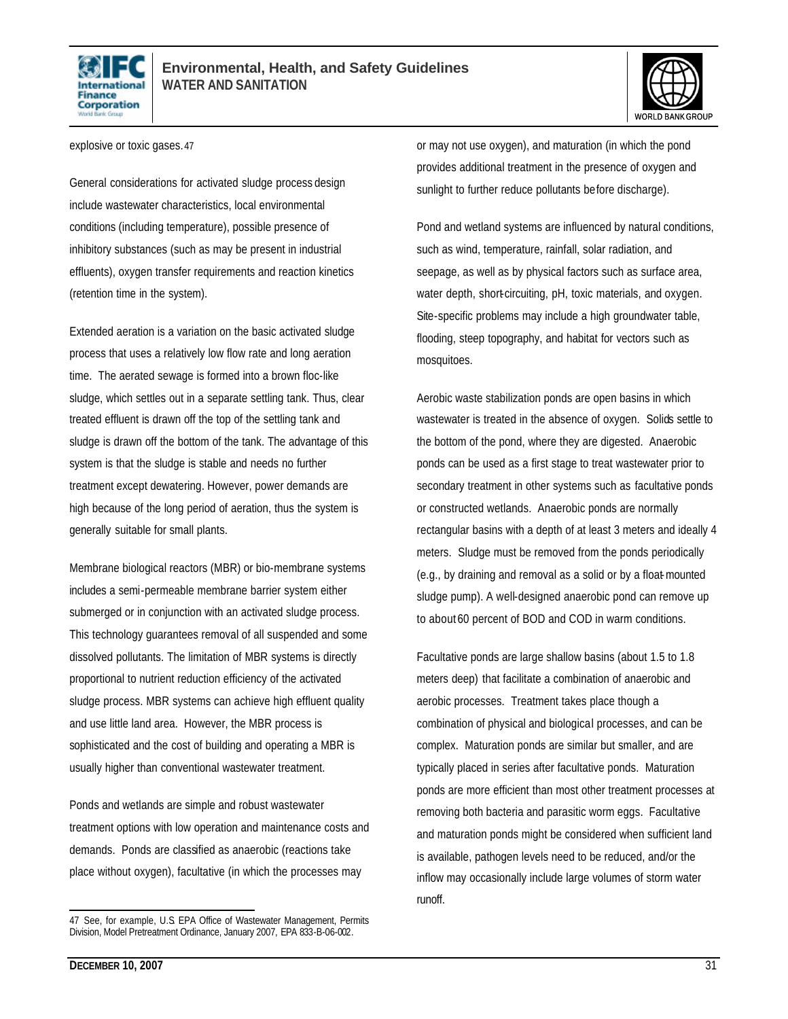



explosive or toxic gases.47

General considerations for activated sludge process design include wastewater characteristics, local environmental conditions (including temperature), possible presence of inhibitory substances (such as may be present in industrial effluents), oxygen transfer requirements and reaction kinetics (retention time in the system).

Extended aeration is a variation on the basic activated sludge process that uses a relatively low flow rate and long aeration time. The aerated sewage is formed into a brown floc-like sludge, which settles out in a separate settling tank. Thus, clear treated effluent is drawn off the top of the settling tank and sludge is drawn off the bottom of the tank. The advantage of this system is that the sludge is stable and needs no further treatment except dewatering. However, power demands are high because of the long period of aeration, thus the system is generally suitable for small plants.

Membrane biological reactors (MBR) or bio-membrane systems includes a semi-permeable membrane barrier system either submerged or in conjunction with an activated sludge process. This technology guarantees removal of all suspended and some dissolved pollutants. The limitation of MBR systems is directly proportional to nutrient reduction efficiency of the activated sludge process. MBR systems can achieve high effluent quality and use little land area. However, the MBR process is sophisticated and the cost of building and operating a MBR is usually higher than conventional wastewater treatment.

Ponds and wetlands are simple and robust wastewater treatment options with low operation and maintenance costs and demands. Ponds are classified as anaerobic (reactions take place without oxygen), facultative (in which the processes may

or may not use oxygen), and maturation (in which the pond provides additional treatment in the presence of oxygen and sunlight to further reduce pollutants before discharge).

Pond and wetland systems are influenced by natural conditions, such as wind, temperature, rainfall, solar radiation, and seepage, as well as by physical factors such as surface area, water depth, short-circuiting, pH, toxic materials, and oxygen. Site-specific problems may include a high groundwater table, flooding, steep topography, and habitat for vectors such as mosquitoes.

Aerobic waste stabilization ponds are open basins in which wastewater is treated in the absence of oxygen. Solids settle to the bottom of the pond, where they are digested. Anaerobic ponds can be used as a first stage to treat wastewater prior to secondary treatment in other systems such as facultative ponds or constructed wetlands. Anaerobic ponds are normally rectangular basins with a depth of at least 3 meters and ideally 4 meters. Sludge must be removed from the ponds periodically (e.g., by draining and removal as a solid or by a float-mounted sludge pump). A well-designed anaerobic pond can remove up to about 60 percent of BOD and COD in warm conditions.

Facultative ponds are large shallow basins (about 1.5 to 1.8 meters deep) that facilitate a combination of anaerobic and aerobic processes. Treatment takes place though a combination of physical and biological processes, and can be complex. Maturation ponds are similar but smaller, and are typically placed in series after facultative ponds. Maturation ponds are more efficient than most other treatment processes at removing both bacteria and parasitic worm eggs. Facultative and maturation ponds might be considered when sufficient land is available, pathogen levels need to be reduced, and/or the inflow may occasionally include large volumes of storm water runoff.

L 47 See, for example, U.S. EPA Office of Wastewater Management, Permits Division, Model Pretreatment Ordinance, January 2007, EPA 833-B-06-002.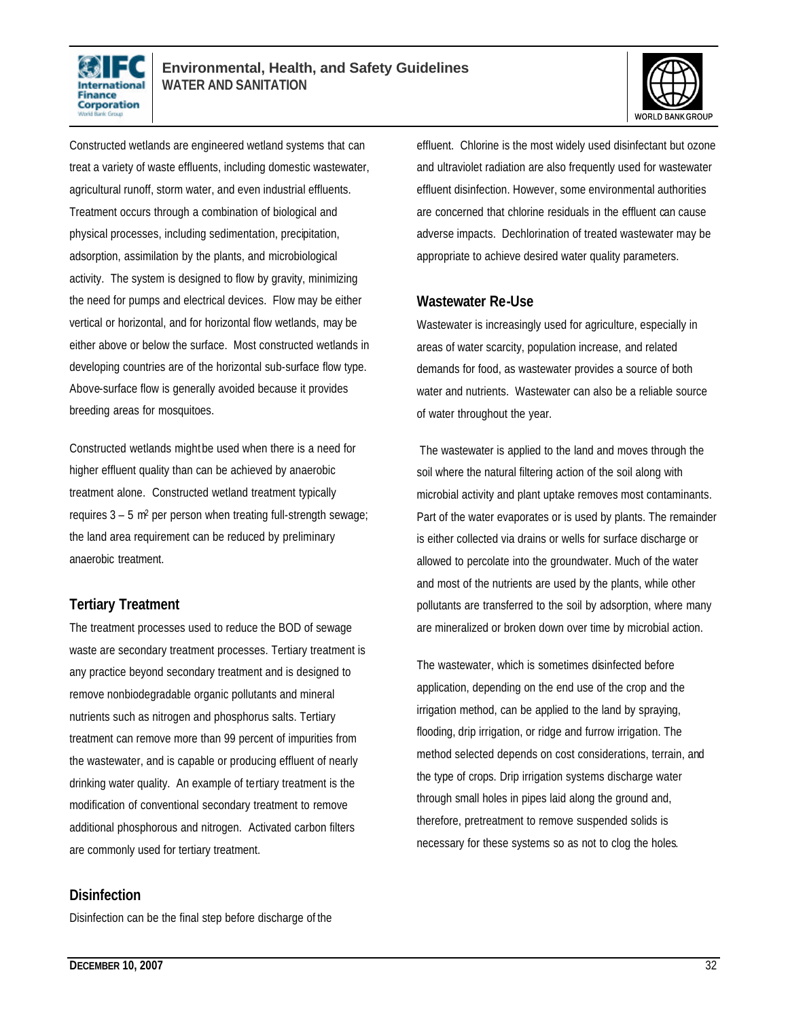



Constructed wetlands are engineered wetland systems that can treat a variety of waste effluents, including domestic wastewater, agricultural runoff, storm water, and even industrial effluents. Treatment occurs through a combination of biological and physical processes, including sedimentation, precipitation, adsorption, assimilation by the plants, and microbiological activity. The system is designed to flow by gravity, minimizing the need for pumps and electrical devices. Flow may be either vertical or horizontal, and for horizontal flow wetlands, may be either above or below the surface. Most constructed wetlands in developing countries are of the horizontal sub-surface flow type. Above-surface flow is generally avoided because it provides breeding areas for mosquitoes.

Constructed wetlands might be used when there is a need for higher effluent quality than can be achieved by anaerobic treatment alone. Constructed wetland treatment typically requires 3 – 5 m2 per person when treating full-strength sewage; the land area requirement can be reduced by preliminary anaerobic treatment.

#### **Tertiary Treatment**

The treatment processes used to reduce the BOD of sewage waste are secondary treatment processes. Tertiary treatment is any practice beyond secondary treatment and is designed to remove nonbiodegradable organic pollutants and mineral nutrients such as nitrogen and phosphorus salts. Tertiary treatment can remove more than 99 percent of impurities from the wastewater, and is capable or producing effluent of nearly drinking water quality. An example of tertiary treatment is the modification of conventional secondary treatment to remove additional phosphorous and nitrogen. Activated carbon filters are commonly used for tertiary treatment.

#### **Disinfection**

Disinfection can be the final step before discharge of the

effluent. Chlorine is the most widely used disinfectant but ozone and ultraviolet radiation are also frequently used for wastewater effluent disinfection. However, some environmental authorities are concerned that chlorine residuals in the effluent can cause adverse impacts. Dechlorination of treated wastewater may be appropriate to achieve desired water quality parameters.

#### **Wastewater Re-Use**

Wastewater is increasingly used for agriculture, especially in areas of water scarcity, population increase, and related demands for food, as wastewater provides a source of both water and nutrients. Wastewater can also be a reliable source of water throughout the year.

The wastewater is applied to the land and moves through the soil where the natural filtering action of the soil along with microbial activity and plant uptake removes most contaminants. Part of the water evaporates or is used by plants. The remainder is either collected via drains or wells for surface discharge or allowed to percolate into the groundwater. Much of the water and most of the nutrients are used by the plants, while other pollutants are transferred to the soil by adsorption, where many are mineralized or broken down over time by microbial action.

The wastewater, which is sometimes disinfected before application, depending on the end use of the crop and the irrigation method, can be applied to the land by spraying, flooding, drip irrigation, or ridge and furrow irrigation. The method selected depends on cost considerations, terrain, and the type of crops. Drip irrigation systems discharge water through small holes in pipes laid along the ground and, therefore, pretreatment to remove suspended solids is necessary for these systems so as not to clog the holes.